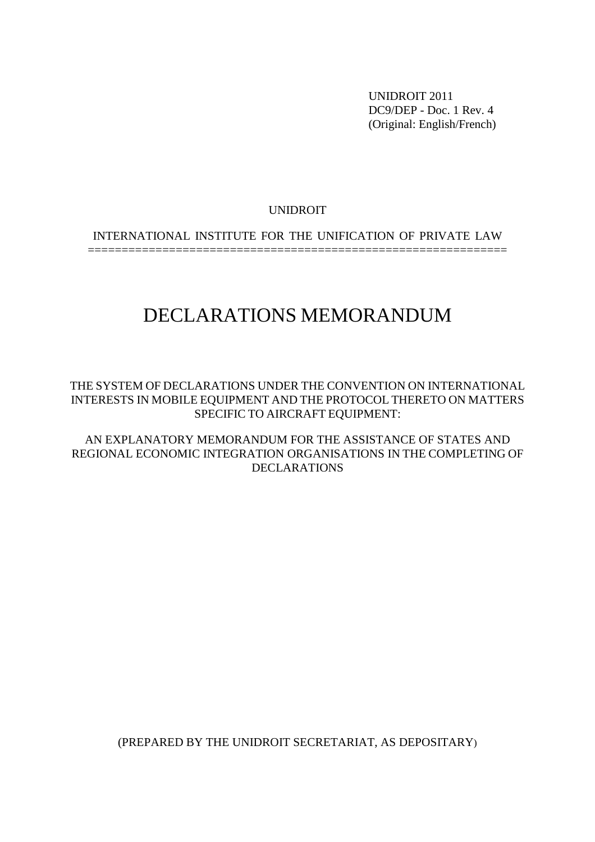UNIDROIT 2011 DC9/DEP - Doc. 1 Rev. 4 (Original: English/French)

#### UNIDROIT

INTERNATIONAL INSTITUTE FOR THE UNIFICATION OF PRIVATE LAW

==============================================================

# DECLARATIONS MEMORANDUM

THE SYSTEM OF DECLARATIONS UNDER THE CONVENTION ON INTERNATIONAL INTERESTS IN MOBILE EQUIPMENT AND THE PROTOCOL THERETO ON MATTERS SPECIFIC TO AIRCRAFT EQUIPMENT:

AN EXPLANATORY MEMORANDUM FOR THE ASSISTANCE OF STATES AND REGIONAL ECONOMIC INTEGRATION ORGANISATIONS IN THE COMPLETING OF DECLARATIONS

(PREPARED BY THE UNIDROIT SECRETARIAT, AS DEPOSITARY)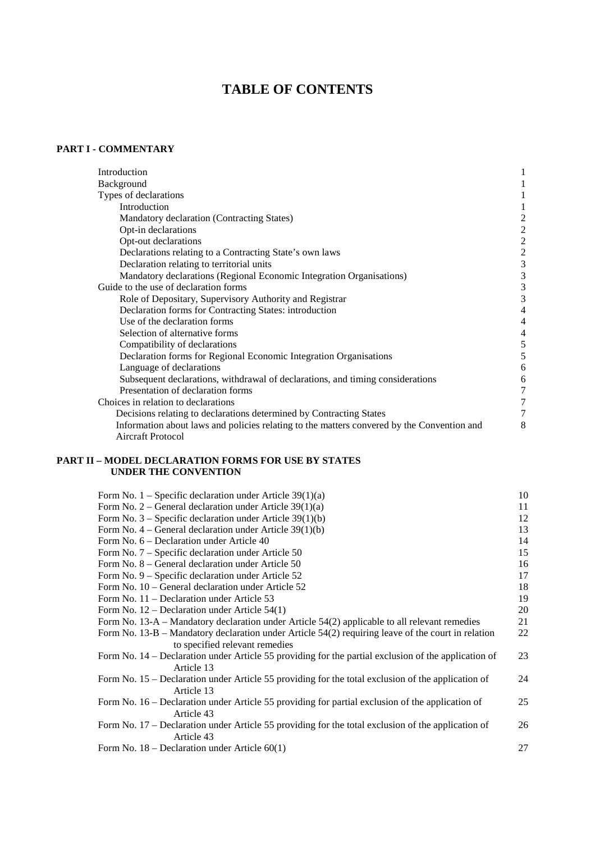# **TABLE OF CONTENTS**

#### **PART I - COMMENTARY**

| Introduction                                                                                                           |                  |
|------------------------------------------------------------------------------------------------------------------------|------------------|
| Background                                                                                                             |                  |
| Types of declarations                                                                                                  |                  |
| Introduction                                                                                                           |                  |
| Mandatory declaration (Contracting States)                                                                             |                  |
| Opt-in declarations                                                                                                    | $\overline{c}$   |
| Opt-out declarations                                                                                                   | $\overline{2}$   |
| Declarations relating to a Contracting State's own laws                                                                | $\boldsymbol{2}$ |
| Declaration relating to territorial units                                                                              | 3                |
| Mandatory declarations (Regional Economic Integration Organisations)                                                   | 3                |
| Guide to the use of declaration forms                                                                                  | 3                |
| Role of Depositary, Supervisory Authority and Registrar                                                                | 3                |
| Declaration forms for Contracting States: introduction                                                                 |                  |
| Use of the declaration forms                                                                                           | 4                |
| Selection of alternative forms                                                                                         |                  |
| Compatibility of declarations                                                                                          | 5                |
| Declaration forms for Regional Economic Integration Organisations                                                      | 5                |
| Language of declarations                                                                                               | 6                |
| Subsequent declarations, withdrawal of declarations, and timing considerations                                         | 6                |
| Presentation of declaration forms                                                                                      | 7                |
| Choices in relation to declarations                                                                                    |                  |
| Decisions relating to declarations determined by Contracting States                                                    |                  |
| Information about laws and policies relating to the matters convered by the Convention and<br><b>Aircraft Protocol</b> | 8                |

#### **PART II – MODEL DECLARATION FORMS FOR USE BY STATES UNDER THE CONVENTION**

| Form No. $1$ – Specific declaration under Article 39(1)(a)                                                                             | 10 |
|----------------------------------------------------------------------------------------------------------------------------------------|----|
| Form No. 2 – General declaration under Article $39(1)(a)$                                                                              | 11 |
| Form No. $3$ – Specific declaration under Article 39(1)(b)                                                                             | 12 |
| Form No. $4$ – General declaration under Article 39(1)(b)                                                                              | 13 |
| Form No. 6 – Declaration under Article 40                                                                                              | 14 |
| Form No. 7 – Specific declaration under Article 50                                                                                     | 15 |
| Form No. 8 – General declaration under Article 50                                                                                      | 16 |
| Form No. 9 – Specific declaration under Article 52                                                                                     | 17 |
| Form No. 10 – General declaration under Article 52                                                                                     | 18 |
| Form No. $11$ – Declaration under Article 53                                                                                           | 19 |
| Form No. $12$ – Declaration under Article 54(1)                                                                                        | 20 |
| Form No. 13-A – Mandatory declaration under Article 54(2) applicable to all relevant remedies                                          | 21 |
| Form No. $13-B$ – Mandatory declaration under Article 54(2) requiring leave of the court in relation<br>to specified relevant remedies | 22 |
| Form No. 14 – Declaration under Article 55 providing for the partial exclusion of the application of                                   | 23 |
| Article 13                                                                                                                             |    |
| Form No. 15 – Declaration under Article 55 providing for the total exclusion of the application of                                     | 24 |
| Article 13                                                                                                                             |    |
| Form No. 16 – Declaration under Article 55 providing for partial exclusion of the application of<br>Article 43                         | 25 |
| Form No. 17 – Declaration under Article 55 providing for the total exclusion of the application of                                     | 26 |
| Article 43                                                                                                                             |    |
| Form No. $18$ – Declaration under Article $60(1)$                                                                                      | 27 |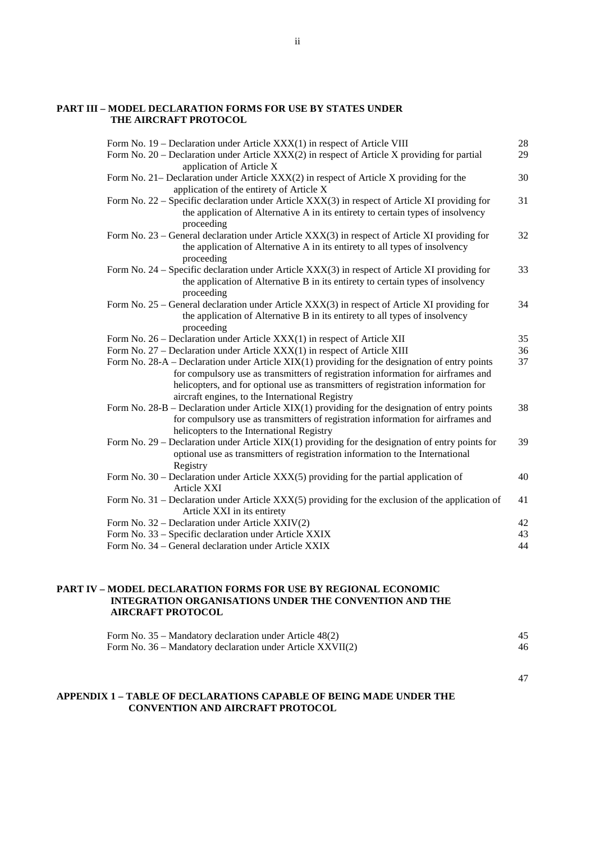#### **PART III – MODEL DECLARATION FORMS FOR USE BY STATES UNDER THE AIRCRAFT PROTOCOL**

| Form No. 19 – Declaration under Article XXX(1) in respect of Article VIII                                                                                                                                                                                                                                                    | $28\,$ |
|------------------------------------------------------------------------------------------------------------------------------------------------------------------------------------------------------------------------------------------------------------------------------------------------------------------------------|--------|
| Form No. 20 – Declaration under Article XXX(2) in respect of Article X providing for partial<br>application of Article X                                                                                                                                                                                                     | 29     |
| Form No. 21– Declaration under Article XXX(2) in respect of Article X providing for the<br>application of the entirety of Article X                                                                                                                                                                                          | 30     |
| Form No. 22 – Specific declaration under Article XXX(3) in respect of Article XI providing for<br>the application of Alternative A in its entirety to certain types of insolvency<br>proceeding                                                                                                                              | 31     |
| Form No. 23 – General declaration under Article XXX(3) in respect of Article XI providing for<br>the application of Alternative A in its entirety to all types of insolvency<br>proceeding                                                                                                                                   | 32     |
| Form No. 24 – Specific declaration under Article XXX(3) in respect of Article XI providing for<br>the application of Alternative B in its entirety to certain types of insolvency<br>proceeding                                                                                                                              | 33     |
| Form No. 25 – General declaration under Article XXX(3) in respect of Article XI providing for<br>the application of Alternative B in its entirety to all types of insolvency<br>proceeding                                                                                                                                   | 34     |
| Form No. 26 – Declaration under Article XXX(1) in respect of Article XII                                                                                                                                                                                                                                                     | 35     |
| Form No. 27 – Declaration under Article XXX(1) in respect of Article XIII                                                                                                                                                                                                                                                    | 36     |
| Form No. 28-A – Declaration under Article $XIX(1)$ providing for the designation of entry points<br>for compulsory use as transmitters of registration information for airframes and<br>helicopters, and for optional use as transmitters of registration information for<br>aircraft engines, to the International Registry | 37     |
| Form No. $28-B$ – Declaration under Article XIX(1) providing for the designation of entry points<br>for compulsory use as transmitters of registration information for airframes and<br>helicopters to the International Registry                                                                                            | 38     |
| Form No. $29$ – Declaration under Article XIX(1) providing for the designation of entry points for<br>optional use as transmitters of registration information to the International<br>Registry                                                                                                                              | 39     |
| Form No. 30 - Declaration under Article XXX(5) providing for the partial application of<br>Article XXI                                                                                                                                                                                                                       | 40     |
| Form No. 31 – Declaration under Article XXX(5) providing for the exclusion of the application of<br>Article XXI in its entirety                                                                                                                                                                                              | 41     |
| Form No. 32 – Declaration under Article XXIV(2)                                                                                                                                                                                                                                                                              | 42     |
| Form No. 33 - Specific declaration under Article XXIX                                                                                                                                                                                                                                                                        | 43     |
| Form No. 34 - General declaration under Article XXIX                                                                                                                                                                                                                                                                         | 44     |
|                                                                                                                                                                                                                                                                                                                              |        |

#### **PART IV – MODEL DECLARATION FORMS FOR USE BY REGIONAL ECONOMIC INTEGRATION ORGANISATIONS UNDER THE CONVENTION AND THE AIRCRAFT PROTOCOL**

| Form No. $35$ – Mandatory declaration under Article 48(2)      |    |
|----------------------------------------------------------------|----|
| Form No. $36$ – Mandatory declaration under Article $XXVII(2)$ | 46 |

47

#### **APPENDIX 1 – TABLE OF DECLARATIONS CAPABLE OF BEING MADE UNDER THE CONVENTION AND AIRCRAFT PROTOCOL**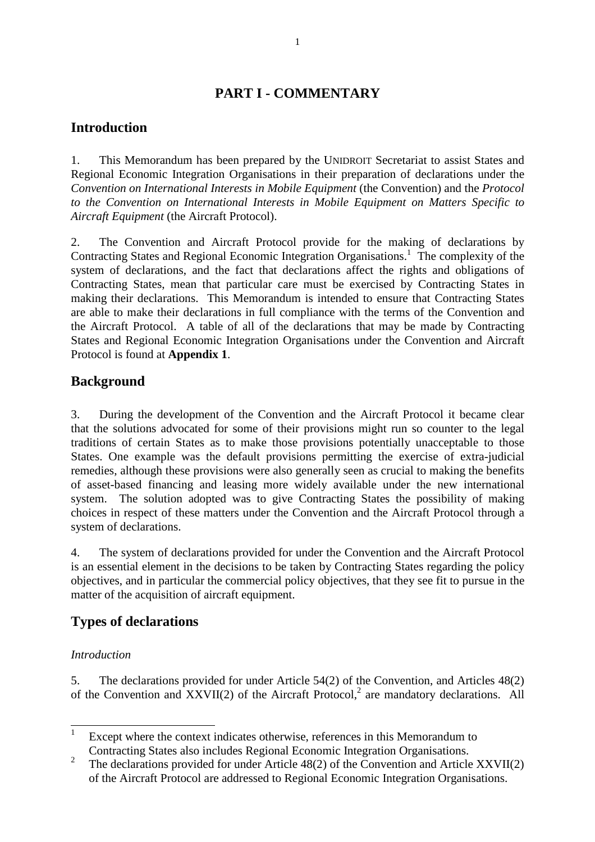# **PART I - COMMENTARY**

# **Introduction**

1. This Memorandum has been prepared by the UNIDROIT Secretariat to assist States and Regional Economic Integration Organisations in their preparation of declarations under the *Convention on International Interests in Mobile Equipment* (the Convention) and the *Protocol to the Convention on International Interests in Mobile Equipment on Matters Specific to Aircraft Equipment* (the Aircraft Protocol).

2. The Convention and Aircraft Protocol provide for the making of declarations by Contracting States and Regional Economic Integration Organisations.<sup>1</sup> The complexity of the system of declarations, and the fact that declarations affect the rights and obligations of Contracting States, mean that particular care must be exercised by Contracting States in making their declarations. This Memorandum is intended to ensure that Contracting States are able to make their declarations in full compliance with the terms of the Convention and the Aircraft Protocol. A table of all of the declarations that may be made by Contracting States and Regional Economic Integration Organisations under the Convention and Aircraft Protocol is found at **Appendix 1**.

### **Background**

3. During the development of the Convention and the Aircraft Protocol it became clear that the solutions advocated for some of their provisions might run so counter to the legal traditions of certain States as to make those provisions potentially unacceptable to those States. One example was the default provisions permitting the exercise of extra-judicial remedies, although these provisions were also generally seen as crucial to making the benefits of asset-based financing and leasing more widely available under the new international system. The solution adopted was to give Contracting States the possibility of making choices in respect of these matters under the Convention and the Aircraft Protocol through a system of declarations.

4. The system of declarations provided for under the Convention and the Aircraft Protocol is an essential element in the decisions to be taken by Contracting States regarding the policy objectives, and in particular the commercial policy objectives, that they see fit to pursue in the matter of the acquisition of aircraft equipment.

# **Types of declarations**

#### *Introduction*

5. The declarations provided for under Article 54(2) of the Convention, and Articles 48(2) of the Convention and  $XXVII(2)$  of the Aircraft Protocol,<sup>2</sup> are mandatory declarations. All

 1 Except where the context indicates otherwise, references in this Memorandum to Contracting States also includes Regional Economic Integration Organisations.

<sup>&</sup>lt;sup>2</sup> The declarations provided for under Article 48(2) of the Convention and Article XXVII(2) of the Aircraft Protocol are addressed to Regional Economic Integration Organisations.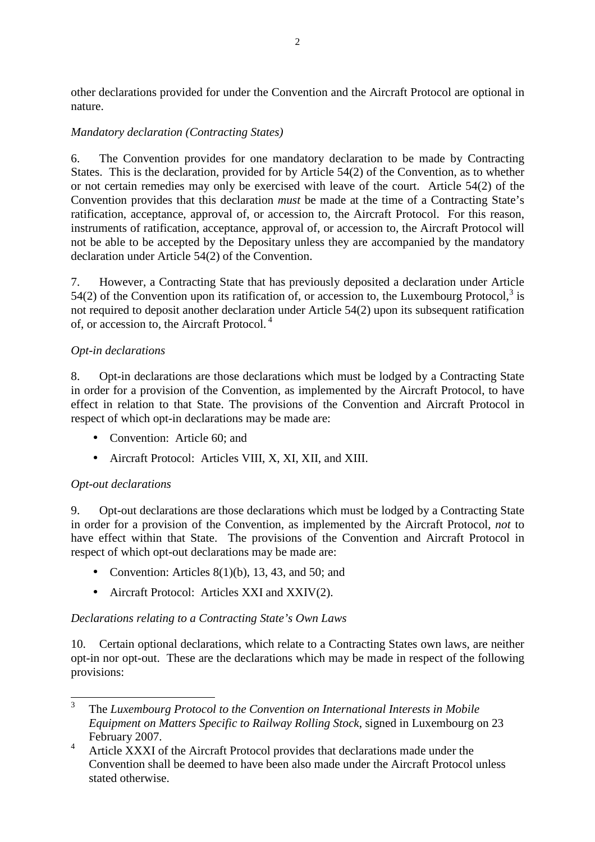other declarations provided for under the Convention and the Aircraft Protocol are optional in nature.

#### *Mandatory declaration (Contracting States)*

6. The Convention provides for one mandatory declaration to be made by Contracting States. This is the declaration, provided for by Article 54(2) of the Convention, as to whether or not certain remedies may only be exercised with leave of the court. Article 54(2) of the Convention provides that this declaration *must* be made at the time of a Contracting State's ratification, acceptance, approval of, or accession to, the Aircraft Protocol. For this reason, instruments of ratification, acceptance, approval of, or accession to, the Aircraft Protocol will not be able to be accepted by the Depositary unless they are accompanied by the mandatory declaration under Article 54(2) of the Convention.

7. However, a Contracting State that has previously deposited a declaration under Article 54(2) of the Convention upon its ratification of, or accession to, the Luxembourg Protocol, $3$  is not required to deposit another declaration under Article 54(2) upon its subsequent ratification of, or accession to, the Aircraft Protocol. <sup>4</sup>

#### *Opt-in declarations*

8. Opt-in declarations are those declarations which must be lodged by a Contracting State in order for a provision of the Convention, as implemented by the Aircraft Protocol, to have effect in relation to that State. The provisions of the Convention and Aircraft Protocol in respect of which opt-in declarations may be made are:

- Convention: Article 60; and
- Aircraft Protocol: Articles VIII, X, XI, XII, and XIII.

#### *Opt-out declarations*

9. Opt-out declarations are those declarations which must be lodged by a Contracting State in order for a provision of the Convention, as implemented by the Aircraft Protocol, *not* to have effect within that State. The provisions of the Convention and Aircraft Protocol in respect of which opt-out declarations may be made are:

- Convention: Articles  $8(1)(b)$ , 13, 43, and 50; and
- Aircraft Protocol: Articles XXI and XXIV(2).

#### *Declarations relating to a Contracting State's Own Laws*

10. Certain optional declarations, which relate to a Contracting States own laws, are neither opt-in nor opt-out. These are the declarations which may be made in respect of the following provisions:

 $\overline{3}$ <sup>3</sup>The *Luxembourg Protocol to the Convention on International Interests in Mobile Equipment on Matters Specific to Railway Rolling Stock*, signed in Luxembourg on 23 February 2007.

<sup>&</sup>lt;sup>4</sup> Article XXXI of the Aircraft Protocol provides that declarations made under the Convention shall be deemed to have been also made under the Aircraft Protocol unless stated otherwise.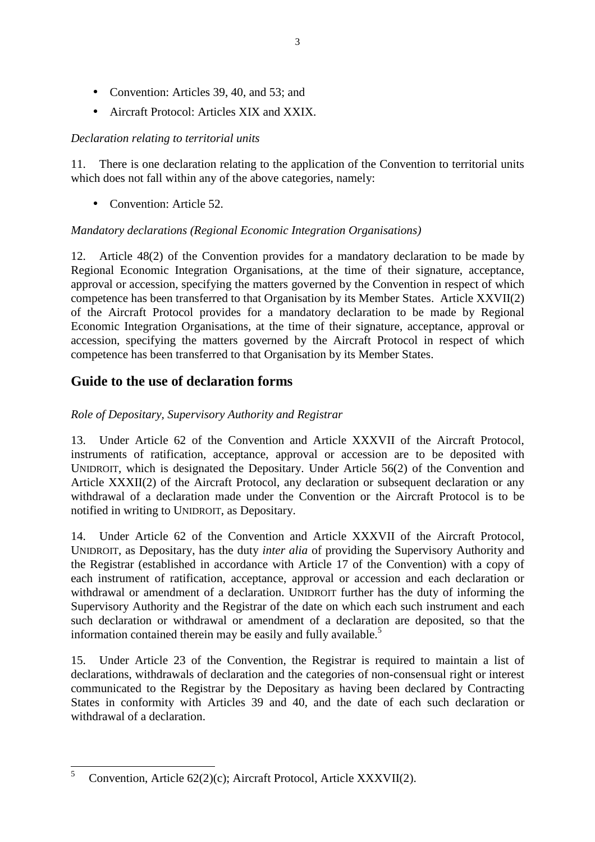- Convention: Articles 39, 40, and 53; and
- Aircraft Protocol: Articles XIX and XXIX.

#### *Declaration relating to territorial units*

11. There is one declaration relating to the application of the Convention to territorial units which does not fall within any of the above categories, namely:

• Convention: Article 52.

#### *Mandatory declarations (Regional Economic Integration Organisations)*

12. Article 48(2) of the Convention provides for a mandatory declaration to be made by Regional Economic Integration Organisations, at the time of their signature, acceptance, approval or accession, specifying the matters governed by the Convention in respect of which competence has been transferred to that Organisation by its Member States. Article XXVII(2) of the Aircraft Protocol provides for a mandatory declaration to be made by Regional Economic Integration Organisations, at the time of their signature, acceptance, approval or accession, specifying the matters governed by the Aircraft Protocol in respect of which competence has been transferred to that Organisation by its Member States.

### **Guide to the use of declaration forms**

#### *Role of Depositary, Supervisory Authority and Registrar*

13. Under Article 62 of the Convention and Article XXXVII of the Aircraft Protocol, instruments of ratification, acceptance, approval or accession are to be deposited with UNIDROIT, which is designated the Depositary. Under Article 56(2) of the Convention and Article XXXII(2) of the Aircraft Protocol, any declaration or subsequent declaration or any withdrawal of a declaration made under the Convention or the Aircraft Protocol is to be notified in writing to UNIDROIT, as Depositary.

14. Under Article 62 of the Convention and Article XXXVII of the Aircraft Protocol, UNIDROIT, as Depositary, has the duty *inter alia* of providing the Supervisory Authority and the Registrar (established in accordance with Article 17 of the Convention) with a copy of each instrument of ratification, acceptance, approval or accession and each declaration or withdrawal or amendment of a declaration. UNIDROIT further has the duty of informing the Supervisory Authority and the Registrar of the date on which each such instrument and each such declaration or withdrawal or amendment of a declaration are deposited, so that the information contained therein may be easily and fully available.<sup>5</sup>

15. Under Article 23 of the Convention, the Registrar is required to maintain a list of declarations, withdrawals of declaration and the categories of non-consensual right or interest communicated to the Registrar by the Depositary as having been declared by Contracting States in conformity with Articles 39 and 40, and the date of each such declaration or withdrawal of a declaration.

<sup>5</sup> <sup>5</sup>Convention, Article 62(2)(c); Aircraft Protocol, Article XXXVII(2).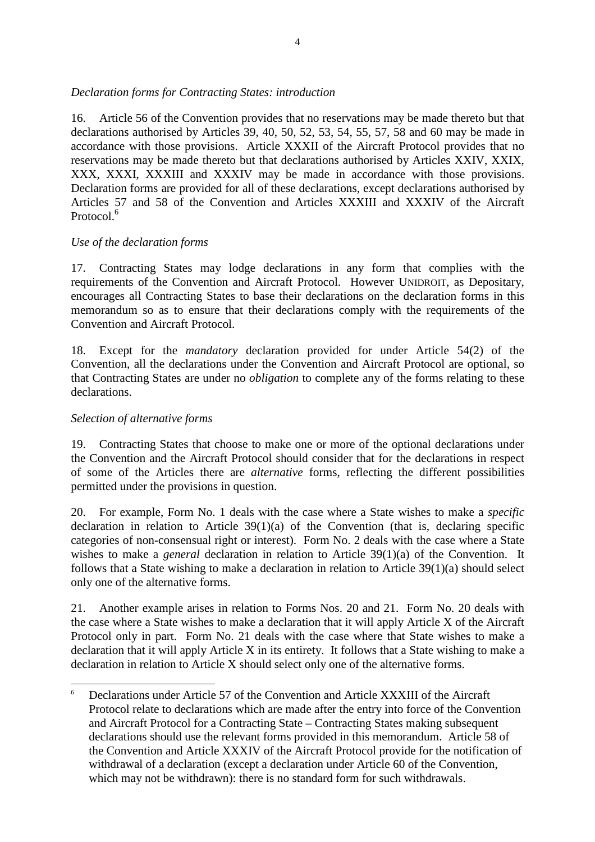#### *Declaration forms for Contracting States: introduction*

16. Article 56 of the Convention provides that no reservations may be made thereto but that declarations authorised by Articles 39, 40, 50, 52, 53, 54, 55, 57, 58 and 60 may be made in accordance with those provisions. Article XXXII of the Aircraft Protocol provides that no reservations may be made thereto but that declarations authorised by Articles XXIV, XXIX, XXX, XXXI, XXXIII and XXXIV may be made in accordance with those provisions. Declaration forms are provided for all of these declarations, except declarations authorised by Articles 57 and 58 of the Convention and Articles XXXIII and XXXIV of the Aircraft Protocol.<sup>6</sup>

#### *Use of the declaration forms*

17. Contracting States may lodge declarations in any form that complies with the requirements of the Convention and Aircraft Protocol. However UNIDROIT, as Depositary, encourages all Contracting States to base their declarations on the declaration forms in this memorandum so as to ensure that their declarations comply with the requirements of the Convention and Aircraft Protocol.

18. Except for the *mandatory* declaration provided for under Article 54(2) of the Convention, all the declarations under the Convention and Aircraft Protocol are optional, so that Contracting States are under no *obligation* to complete any of the forms relating to these declarations.

#### *Selection of alternative forms*

 $\overline{a}$ 

19. Contracting States that choose to make one or more of the optional declarations under the Convention and the Aircraft Protocol should consider that for the declarations in respect of some of the Articles there are *alternative* forms, reflecting the different possibilities permitted under the provisions in question.

20. For example, Form No. 1 deals with the case where a State wishes to make a *specific* declaration in relation to Article  $39(1)(a)$  of the Convention (that is, declaring specific categories of non-consensual right or interest). Form No. 2 deals with the case where a State wishes to make a *general* declaration in relation to Article 39(1)(a) of the Convention. It follows that a State wishing to make a declaration in relation to Article 39(1)(a) should select only one of the alternative forms.

21. Another example arises in relation to Forms Nos. 20 and 21. Form No. 20 deals with the case where a State wishes to make a declaration that it will apply Article X of the Aircraft Protocol only in part. Form No. 21 deals with the case where that State wishes to make a declaration that it will apply Article X in its entirety. It follows that a State wishing to make a declaration in relation to Article X should select only one of the alternative forms.

<sup>6</sup> Declarations under Article 57 of the Convention and Article XXXIII of the Aircraft Protocol relate to declarations which are made after the entry into force of the Convention and Aircraft Protocol for a Contracting State – Contracting States making subsequent declarations should use the relevant forms provided in this memorandum. Article 58 of the Convention and Article XXXIV of the Aircraft Protocol provide for the notification of withdrawal of a declaration (except a declaration under Article 60 of the Convention, which may not be withdrawn): there is no standard form for such withdrawals.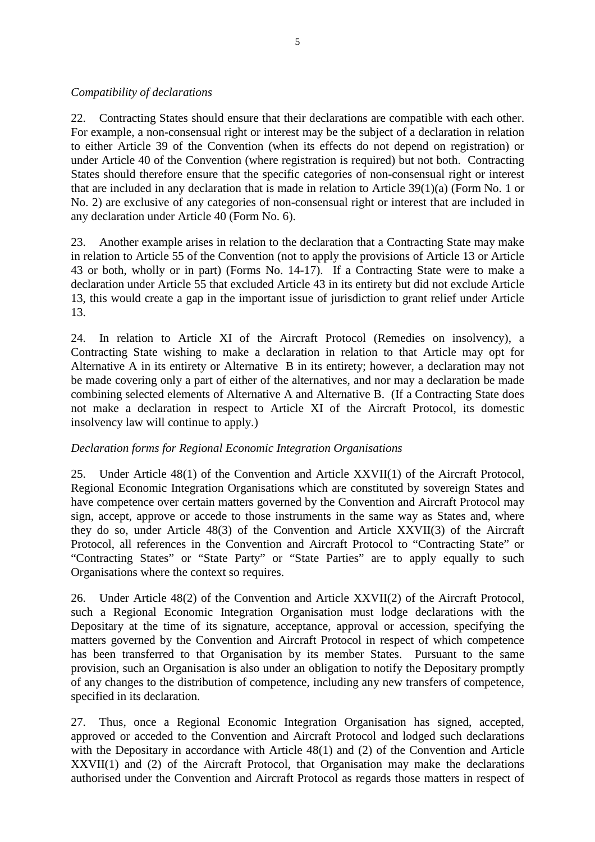#### *Compatibility of declarations*

22. Contracting States should ensure that their declarations are compatible with each other. For example, a non-consensual right or interest may be the subject of a declaration in relation to either Article 39 of the Convention (when its effects do not depend on registration) or under Article 40 of the Convention (where registration is required) but not both. Contracting States should therefore ensure that the specific categories of non-consensual right or interest that are included in any declaration that is made in relation to Article 39(1)(a) (Form No. 1 or No. 2) are exclusive of any categories of non-consensual right or interest that are included in any declaration under Article 40 (Form No. 6).

23. Another example arises in relation to the declaration that a Contracting State may make in relation to Article 55 of the Convention (not to apply the provisions of Article 13 or Article 43 or both, wholly or in part) (Forms No. 14-17). If a Contracting State were to make a declaration under Article 55 that excluded Article 43 in its entirety but did not exclude Article 13, this would create a gap in the important issue of jurisdiction to grant relief under Article 13.

24. In relation to Article XI of the Aircraft Protocol (Remedies on insolvency), a Contracting State wishing to make a declaration in relation to that Article may opt for Alternative A in its entirety or Alternative B in its entirety; however, a declaration may not be made covering only a part of either of the alternatives, and nor may a declaration be made combining selected elements of Alternative A and Alternative B. (If a Contracting State does not make a declaration in respect to Article XI of the Aircraft Protocol, its domestic insolvency law will continue to apply.)

#### *Declaration forms for Regional Economic Integration Organisations*

25. Under Article 48(1) of the Convention and Article XXVII(1) of the Aircraft Protocol, Regional Economic Integration Organisations which are constituted by sovereign States and have competence over certain matters governed by the Convention and Aircraft Protocol may sign, accept, approve or accede to those instruments in the same way as States and, where they do so, under Article 48(3) of the Convention and Article XXVII(3) of the Aircraft Protocol, all references in the Convention and Aircraft Protocol to "Contracting State" or "Contracting States" or "State Party" or "State Parties" are to apply equally to such Organisations where the context so requires.

26. Under Article 48(2) of the Convention and Article XXVII(2) of the Aircraft Protocol, such a Regional Economic Integration Organisation must lodge declarations with the Depositary at the time of its signature, acceptance, approval or accession, specifying the matters governed by the Convention and Aircraft Protocol in respect of which competence has been transferred to that Organisation by its member States. Pursuant to the same provision, such an Organisation is also under an obligation to notify the Depositary promptly of any changes to the distribution of competence, including any new transfers of competence, specified in its declaration.

27. Thus, once a Regional Economic Integration Organisation has signed, accepted, approved or acceded to the Convention and Aircraft Protocol and lodged such declarations with the Depositary in accordance with Article 48(1) and (2) of the Convention and Article XXVII(1) and (2) of the Aircraft Protocol, that Organisation may make the declarations authorised under the Convention and Aircraft Protocol as regards those matters in respect of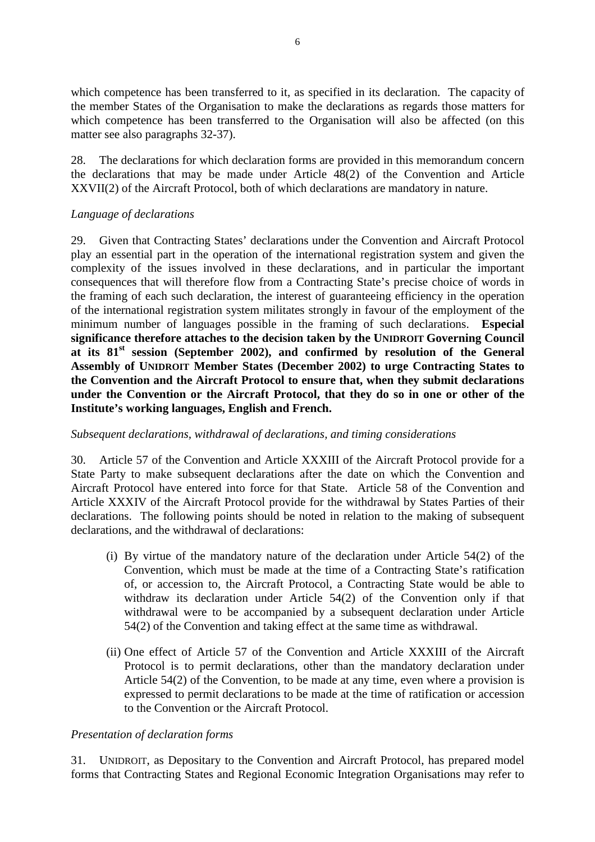which competence has been transferred to it, as specified in its declaration. The capacity of the member States of the Organisation to make the declarations as regards those matters for which competence has been transferred to the Organisation will also be affected (on this matter see also paragraphs 32-37).

28. The declarations for which declaration forms are provided in this memorandum concern the declarations that may be made under Article 48(2) of the Convention and Article XXVII(2) of the Aircraft Protocol, both of which declarations are mandatory in nature.

#### *Language of declarations*

29. Given that Contracting States' declarations under the Convention and Aircraft Protocol play an essential part in the operation of the international registration system and given the complexity of the issues involved in these declarations, and in particular the important consequences that will therefore flow from a Contracting State's precise choice of words in the framing of each such declaration, the interest of guaranteeing efficiency in the operation of the international registration system militates strongly in favour of the employment of the minimum number of languages possible in the framing of such declarations. **Especial significance therefore attaches to the decision taken by the UNIDROIT Governing Council at its 81st session (September 2002), and confirmed by resolution of the General Assembly of UNIDROIT Member States (December 2002) to urge Contracting States to the Convention and the Aircraft Protocol to ensure that, when they submit declarations under the Convention or the Aircraft Protocol, that they do so in one or other of the Institute's working languages, English and French.** 

#### *Subsequent declarations, withdrawal of declarations, and timing considerations*

30. Article 57 of the Convention and Article XXXIII of the Aircraft Protocol provide for a State Party to make subsequent declarations after the date on which the Convention and Aircraft Protocol have entered into force for that State. Article 58 of the Convention and Article XXXIV of the Aircraft Protocol provide for the withdrawal by States Parties of their declarations. The following points should be noted in relation to the making of subsequent declarations, and the withdrawal of declarations:

- (i) By virtue of the mandatory nature of the declaration under Article 54(2) of the Convention, which must be made at the time of a Contracting State's ratification of, or accession to, the Aircraft Protocol, a Contracting State would be able to withdraw its declaration under Article 54(2) of the Convention only if that withdrawal were to be accompanied by a subsequent declaration under Article 54(2) of the Convention and taking effect at the same time as withdrawal.
- (ii) One effect of Article 57 of the Convention and Article XXXIII of the Aircraft Protocol is to permit declarations, other than the mandatory declaration under Article 54(2) of the Convention, to be made at any time, even where a provision is expressed to permit declarations to be made at the time of ratification or accession to the Convention or the Aircraft Protocol.

#### *Presentation of declaration forms*

31. UNIDROIT, as Depositary to the Convention and Aircraft Protocol, has prepared model forms that Contracting States and Regional Economic Integration Organisations may refer to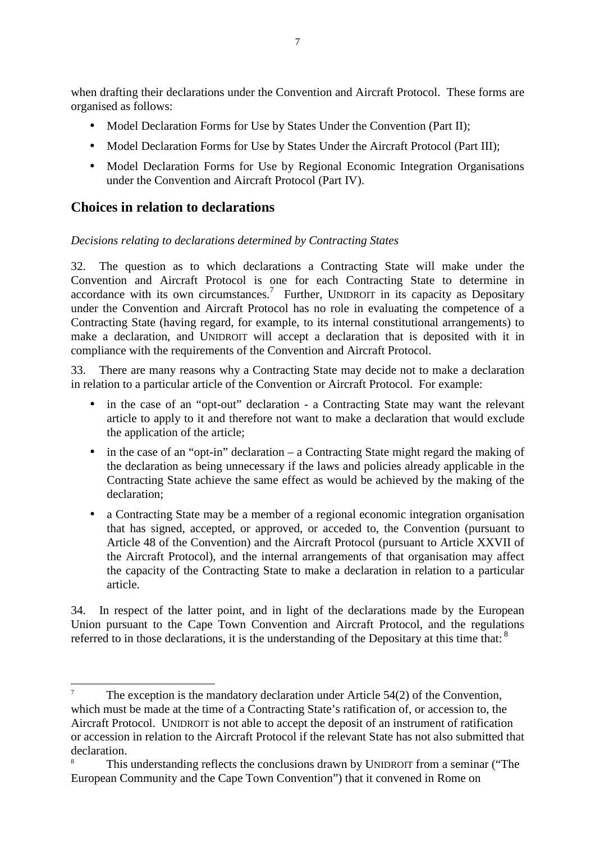when drafting their declarations under the Convention and Aircraft Protocol. These forms are organised as follows:

- Model Declaration Forms for Use by States Under the Convention (Part II);
- Model Declaration Forms for Use by States Under the Aircraft Protocol (Part III);
- Model Declaration Forms for Use by Regional Economic Integration Organisations under the Convention and Aircraft Protocol (Part IV).

### **Choices in relation to declarations**

 $\overline{a}$ 

#### *Decisions relating to declarations determined by Contracting States*

32. The question as to which declarations a Contracting State will make under the Convention and Aircraft Protocol is one for each Contracting State to determine in accordance with its own circumstances.<sup>7</sup> Further, UNIDROIT in its capacity as Depositary under the Convention and Aircraft Protocol has no role in evaluating the competence of a Contracting State (having regard, for example, to its internal constitutional arrangements) to make a declaration, and UNIDROIT will accept a declaration that is deposited with it in compliance with the requirements of the Convention and Aircraft Protocol.

33. There are many reasons why a Contracting State may decide not to make a declaration in relation to a particular article of the Convention or Aircraft Protocol. For example:

- in the case of an "opt-out" declaration a Contracting State may want the relevant article to apply to it and therefore not want to make a declaration that would exclude the application of the article;
- in the case of an "opt-in" declaration a Contracting State might regard the making of the declaration as being unnecessary if the laws and policies already applicable in the Contracting State achieve the same effect as would be achieved by the making of the declaration;
- a Contracting State may be a member of a regional economic integration organisation that has signed, accepted, or approved, or acceded to, the Convention (pursuant to Article 48 of the Convention) and the Aircraft Protocol (pursuant to Article XXVII of the Aircraft Protocol), and the internal arrangements of that organisation may affect the capacity of the Contracting State to make a declaration in relation to a particular article.

34. In respect of the latter point, and in light of the declarations made by the European Union pursuant to the Cape Town Convention and Aircraft Protocol, and the regulations referred to in those declarations, it is the understanding of the Depositary at this time that:  $8$ 

The exception is the mandatory declaration under Article 54(2) of the Convention, which must be made at the time of a Contracting State's ratification of, or accession to, the Aircraft Protocol. UNIDROIT is not able to accept the deposit of an instrument of ratification or accession in relation to the Aircraft Protocol if the relevant State has not also submitted that declaration.

This understanding reflects the conclusions drawn by UNIDROIT from a seminar ("The European Community and the Cape Town Convention") that it convened in Rome on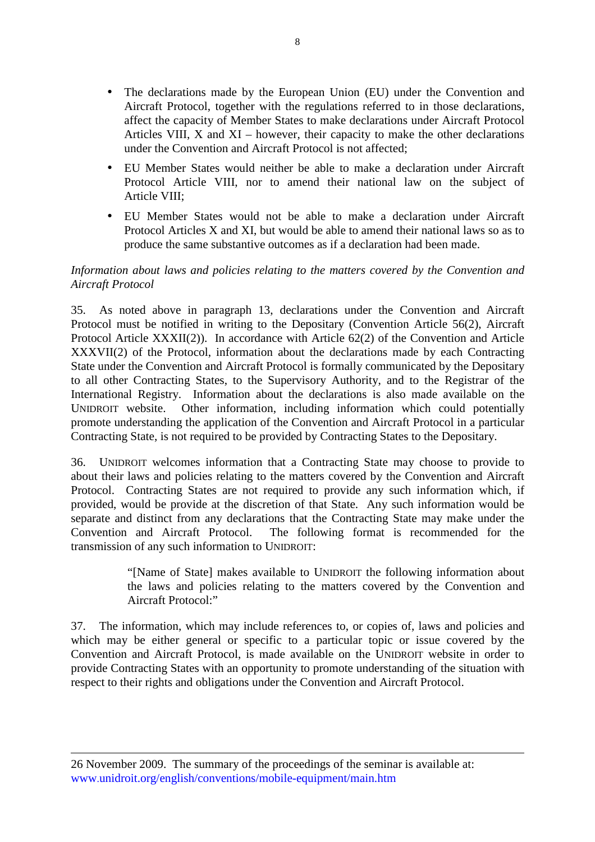- The declarations made by the European Union (EU) under the Convention and Aircraft Protocol, together with the regulations referred to in those declarations, affect the capacity of Member States to make declarations under Aircraft Protocol Articles VIII,  $X$  and  $XI$  – however, their capacity to make the other declarations under the Convention and Aircraft Protocol is not affected;
- EU Member States would neither be able to make a declaration under Aircraft Protocol Article VIII, nor to amend their national law on the subject of Article VIII;
- EU Member States would not be able to make a declaration under Aircraft Protocol Articles X and XI, but would be able to amend their national laws so as to produce the same substantive outcomes as if a declaration had been made.

#### *Information about laws and policies relating to the matters covered by the Convention and Aircraft Protocol*

35. As noted above in paragraph 13, declarations under the Convention and Aircraft Protocol must be notified in writing to the Depositary (Convention Article 56(2), Aircraft Protocol Article XXXII(2)). In accordance with Article 62(2) of the Convention and Article XXXVII(2) of the Protocol, information about the declarations made by each Contracting State under the Convention and Aircraft Protocol is formally communicated by the Depositary to all other Contracting States, to the Supervisory Authority, and to the Registrar of the International Registry. Information about the declarations is also made available on the UNIDROIT website. Other information, including information which could potentially promote understanding the application of the Convention and Aircraft Protocol in a particular Contracting State, is not required to be provided by Contracting States to the Depositary.

36. UNIDROIT welcomes information that a Contracting State may choose to provide to about their laws and policies relating to the matters covered by the Convention and Aircraft Protocol. Contracting States are not required to provide any such information which, if provided, would be provide at the discretion of that State. Any such information would be separate and distinct from any declarations that the Contracting State may make under the Convention and Aircraft Protocol. The following format is recommended for the The following format is recommended for the transmission of any such information to UNIDROIT:

> "[Name of State] makes available to UNIDROIT the following information about the laws and policies relating to the matters covered by the Convention and Aircraft Protocol:"

37. The information, which may include references to, or copies of, laws and policies and which may be either general or specific to a particular topic or issue covered by the Convention and Aircraft Protocol, is made available on the UNIDROIT website in order to provide Contracting States with an opportunity to promote understanding of the situation with respect to their rights and obligations under the Convention and Aircraft Protocol.

 $\overline{a}$ 

<sup>26</sup> November 2009. The summary of the proceedings of the seminar is available at: www.unidroit.org/english/conventions/mobile-equipment/main.htm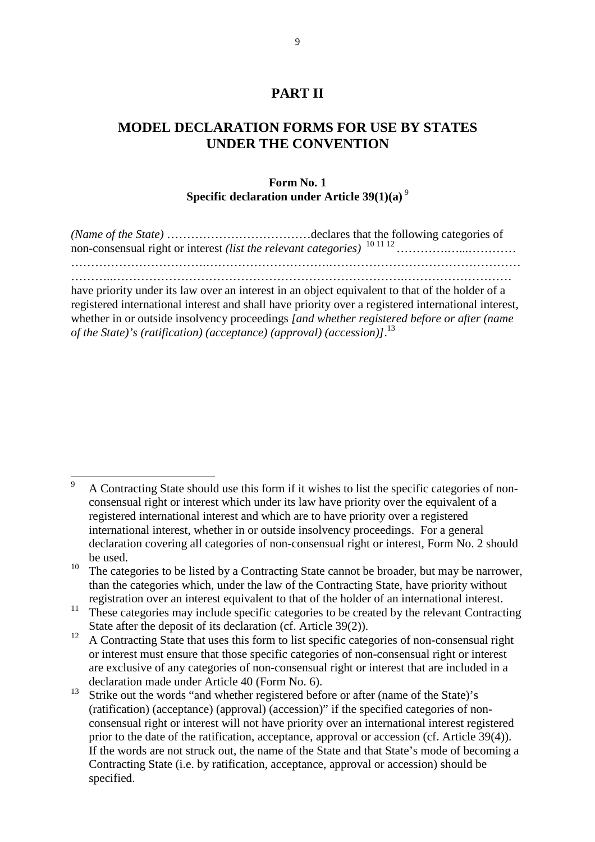### **PART II**

### **MODEL DECLARATION FORMS FOR USE BY STATES UNDER THE CONVENTION**

#### **Form No. 1 Specific declaration under Article 39(1)(a)**<sup>9</sup>

have priority under its law over an interest in an object equivalent to that of the holder of a registered international interest and shall have priority over a registered international interest, whether in or outside insolvency proceedings *[and whether registered before or after (name of the State)'s (ratification) (acceptance) (approval) (accession)]*. 13

 $\overline{9}$ <sup>9</sup>A Contracting State should use this form if it wishes to list the specific categories of nonconsensual right or interest which under its law have priority over the equivalent of a registered international interest and which are to have priority over a registered international interest, whether in or outside insolvency proceedings. For a general declaration covering all categories of non-consensual right or interest, Form No. 2 should be used.

<sup>&</sup>lt;sup>10</sup> The categories to be listed by a Contracting State cannot be broader, but may be narrower, than the categories which, under the law of the Contracting State, have priority without registration over an interest equivalent to that of the holder of an international interest.

<sup>&</sup>lt;sup>11</sup> These categories may include specific categories to be created by the relevant Contracting State after the deposit of its declaration (cf. Article 39(2)).

<sup>&</sup>lt;sup>12</sup> A Contracting State that uses this form to list specific categories of non-consensual right or interest must ensure that those specific categories of non-consensual right or interest are exclusive of any categories of non-consensual right or interest that are included in a declaration made under Article 40 (Form No. 6).

<sup>&</sup>lt;sup>13</sup> Strike out the words "and whether registered before or after (name of the State)'s (ratification) (acceptance) (approval) (accession)" if the specified categories of nonconsensual right or interest will not have priority over an international interest registered prior to the date of the ratification, acceptance, approval or accession (cf. Article 39(4)). If the words are not struck out, the name of the State and that State's mode of becoming a Contracting State (i.e. by ratification, acceptance, approval or accession) should be specified.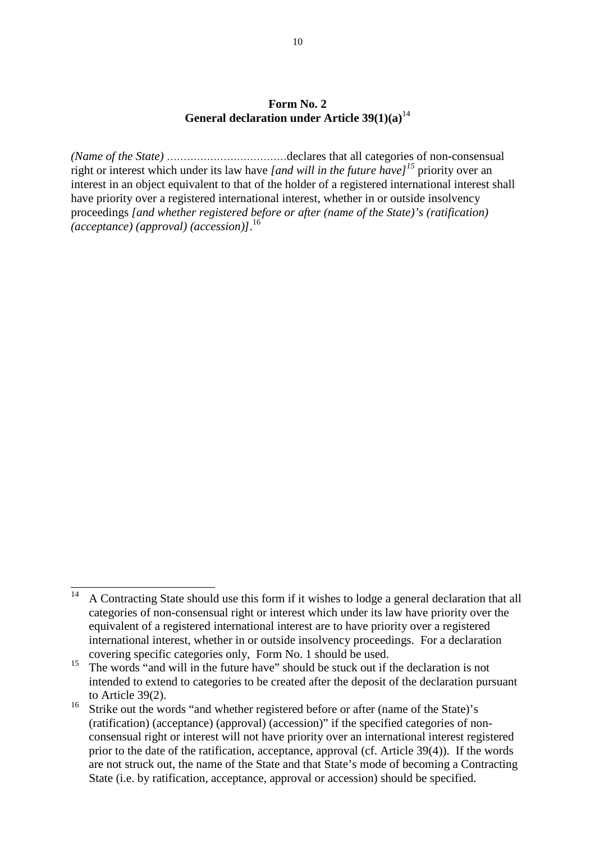#### **Form No. 2 General declaration under Article 39(1)(a)**<sup>14</sup>

*(Name of the State)* ………………………………declares that all categories of non-consensual right or interest which under its law have *[and will in the future have]<sup>15</sup>* priority over an interest in an object equivalent to that of the holder of a registered international interest shall have priority over a registered international interest, whether in or outside insolvency proceedings *[and whether registered before or after (name of the State)'s (ratification) (acceptance) (approval) (accession)]*. 16

<sup>14</sup> <sup>14</sup>A Contracting State should use this form if it wishes to lodge a general declaration that all categories of non-consensual right or interest which under its law have priority over the equivalent of a registered international interest are to have priority over a registered international interest, whether in or outside insolvency proceedings. For a declaration covering specific categories only, Form No. 1 should be used.

<sup>&</sup>lt;sup>15</sup> The words "and will in the future have" should be stuck out if the declaration is not intended to extend to categories to be created after the deposit of the declaration pursuant to Article 39(2).

<sup>&</sup>lt;sup>16</sup> Strike out the words "and whether registered before or after (name of the State)'s (ratification) (acceptance) (approval) (accession)" if the specified categories of nonconsensual right or interest will not have priority over an international interest registered prior to the date of the ratification, acceptance, approval (cf. Article 39(4)). If the words are not struck out, the name of the State and that State's mode of becoming a Contracting State (i.e. by ratification, acceptance, approval or accession) should be specified.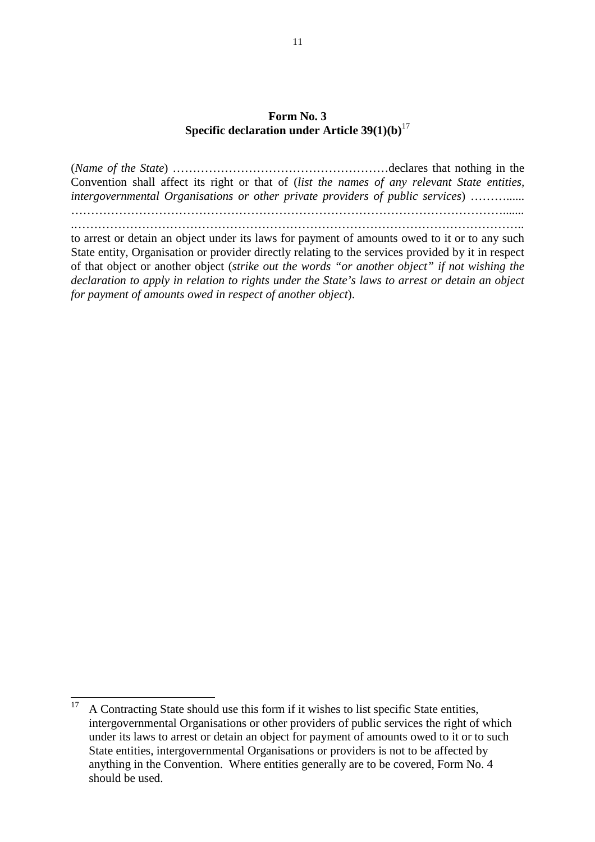#### **Form No. 3 Specific declaration under Article 39(1)(b)**<sup>17</sup>

(*Name of the State*) ………………………………………………declares that nothing in the Convention shall affect its right or that of (*list the names of any relevant State entities, intergovernmental Organisations or other private providers of public services*) ………...... ………………………………………………………………………………………………....... .………………………………………………………………………………………………….. to arrest or detain an object under its laws for payment of amounts owed to it or to any such State entity, Organisation or provider directly relating to the services provided by it in respect of that object or another object (*strike out the words "or another object" if not wishing the declaration to apply in relation to rights under the State's laws to arrest or detain an object for payment of amounts owed in respect of another object*).

<sup>17</sup> <sup>17</sup>A Contracting State should use this form if it wishes to list specific State entities, intergovernmental Organisations or other providers of public services the right of which under its laws to arrest or detain an object for payment of amounts owed to it or to such State entities, intergovernmental Organisations or providers is not to be affected by anything in the Convention. Where entities generally are to be covered, Form No. 4 should be used.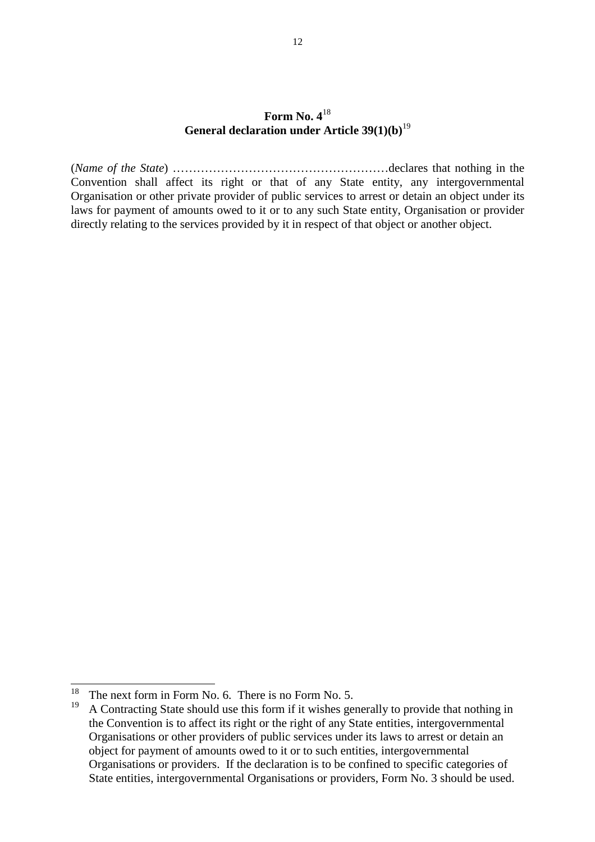#### **Form No. 4**<sup>18</sup> **General declaration under Article 39(1)(b)**<sup>19</sup>

(*Name of the State*) ………………………………………………declares that nothing in the Convention shall affect its right or that of any State entity, any intergovernmental Organisation or other private provider of public services to arrest or detain an object under its laws for payment of amounts owed to it or to any such State entity, Organisation or provider directly relating to the services provided by it in respect of that object or another object.

<sup>18</sup> <sup>18</sup> The next form in Form No. 6. There is no Form No. 5.<br><sup>19</sup> A Contracting State should use this form if it wishes go

<sup>19</sup>A Contracting State should use this form if it wishes generally to provide that nothing in the Convention is to affect its right or the right of any State entities, intergovernmental Organisations or other providers of public services under its laws to arrest or detain an object for payment of amounts owed to it or to such entities, intergovernmental Organisations or providers. If the declaration is to be confined to specific categories of State entities, intergovernmental Organisations or providers, Form No. 3 should be used.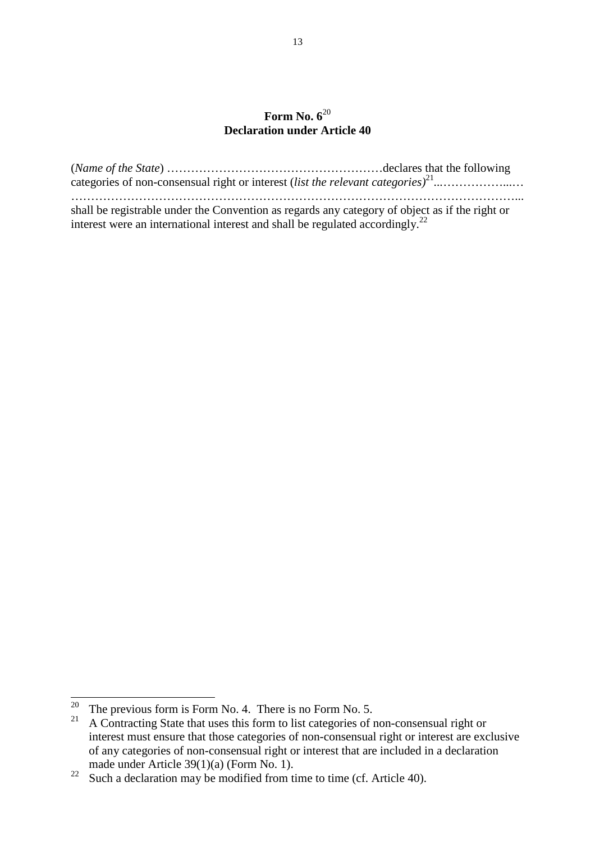### **Form No. 6**<sup>20</sup> **Declaration under Article 40**

| shall be registrable under the Convention as regards any category of object as if the right or |  |
|------------------------------------------------------------------------------------------------|--|
| interest were an international interest and shall be regulated accordingly. <sup>22</sup>      |  |

 $\overline{a}$ 

<sup>&</sup>lt;sup>20</sup> The previous form is Form No. 4. There is no Form No. 5.

<sup>&</sup>lt;sup>21</sup> A Contracting State that uses this form to list categories of non-consensual right or interest must ensure that those categories of non-consensual right or interest are exclusive of any categories of non-consensual right or interest that are included in a declaration made under Article 39(1)(a) (Form No. 1).

<sup>&</sup>lt;sup>22</sup> Such a declaration may be modified from time to time (cf. Article 40).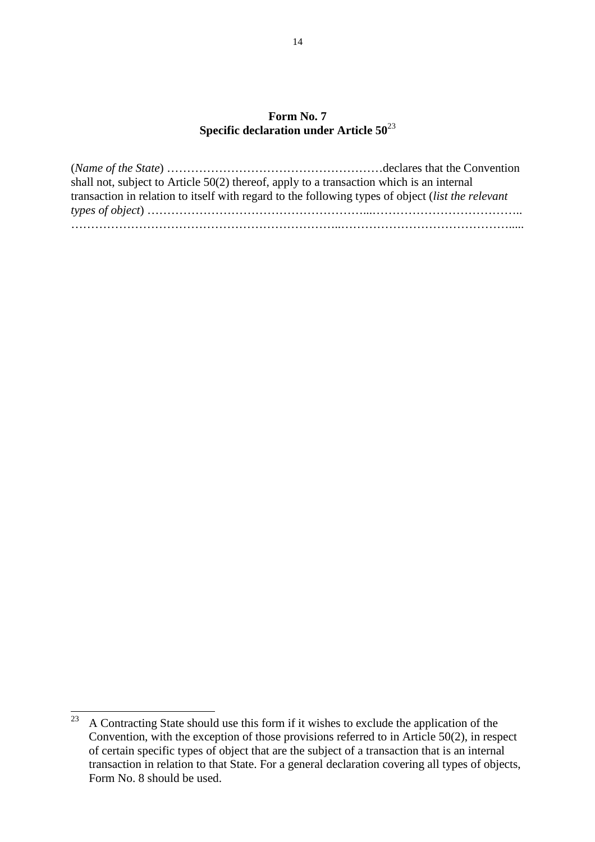### **Form No. 7 Specific declaration under Article 50**<sup>23</sup>

| shall not, subject to Article $50(2)$ thereof, apply to a transaction which is an internal        |  |
|---------------------------------------------------------------------------------------------------|--|
| transaction in relation to itself with regard to the following types of object (list the relevant |  |
|                                                                                                   |  |
|                                                                                                   |  |

<sup>23</sup> <sup>23</sup>A Contracting State should use this form if it wishes to exclude the application of the Convention, with the exception of those provisions referred to in Article 50(2), in respect of certain specific types of object that are the subject of a transaction that is an internal transaction in relation to that State. For a general declaration covering all types of objects, Form No. 8 should be used.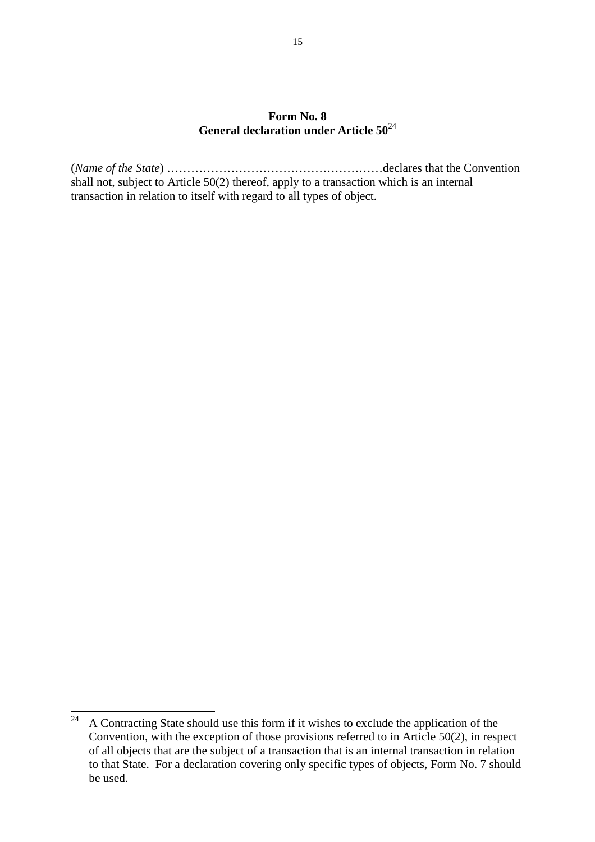#### **Form No. 8 General declaration under Article 50**<sup>24</sup>

(*Name of the State*) ………………………………………………declares that the Convention shall not, subject to Article 50(2) thereof, apply to a transaction which is an internal transaction in relation to itself with regard to all types of object.

<sup>24</sup> <sup>24</sup>A Contracting State should use this form if it wishes to exclude the application of the Convention, with the exception of those provisions referred to in Article 50(2), in respect of all objects that are the subject of a transaction that is an internal transaction in relation to that State. For a declaration covering only specific types of objects, Form No. 7 should be used.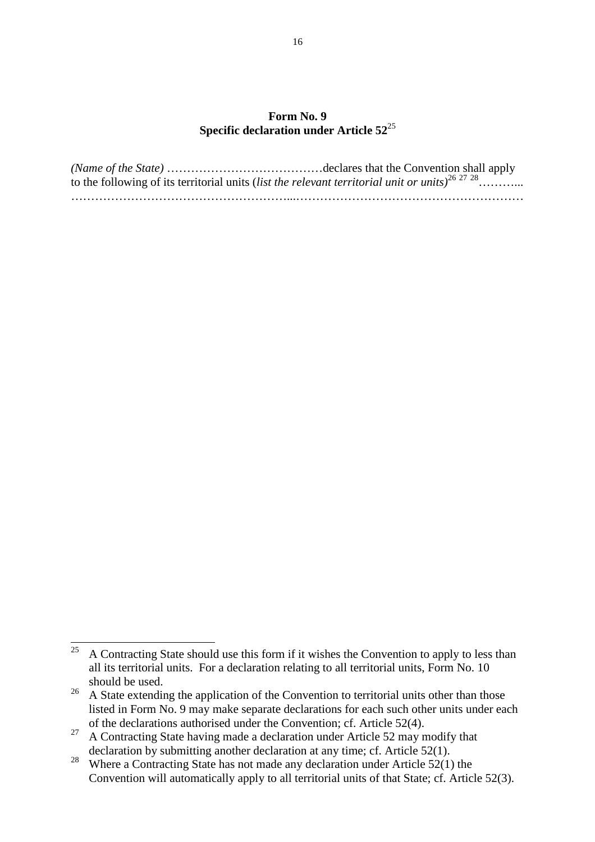#### **Form No. 9 Specific declaration under Article 52**<sup>25</sup>

| to the following of its territorial units (list the relevant territorial unit or units) <sup>26 27</sup> <sup>28</sup> |  |
|------------------------------------------------------------------------------------------------------------------------|--|
|                                                                                                                        |  |

 $25\,$ <sup>25</sup>A Contracting State should use this form if it wishes the Convention to apply to less than all its territorial units. For a declaration relating to all territorial units, Form No. 10 should be used.

<sup>&</sup>lt;sup>26</sup> A State extending the application of the Convention to territorial units other than those listed in Form No. 9 may make separate declarations for each such other units under each of the declarations authorised under the Convention; cf. Article 52(4).

<sup>&</sup>lt;sup>27</sup> A Contracting State having made a declaration under Article 52 may modify that declaration by submitting another declaration at any time; cf. Article 52(1).

<sup>&</sup>lt;sup>28</sup> Where a Contracting State has not made any declaration under Article  $52(1)$  the Convention will automatically apply to all territorial units of that State; cf. Article 52(3).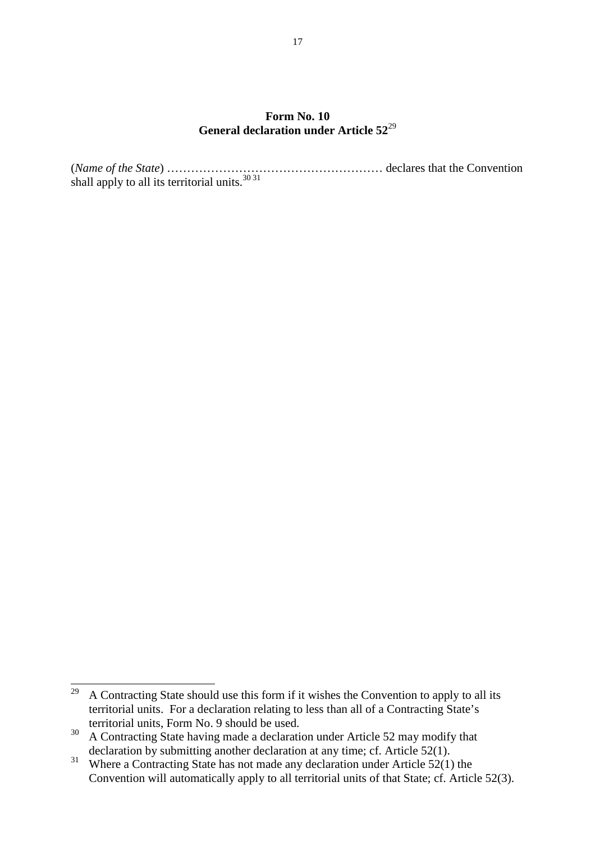#### **Form No. 10 General declaration under Article 52**<sup>29</sup>

(*Name of the State*) ……………………………………………… declares that the Convention shall apply to all its territorial units.<sup>30 31</sup>

<sup>29</sup> <sup>29</sup>A Contracting State should use this form if it wishes the Convention to apply to all its territorial units. For a declaration relating to less than all of a Contracting State's territorial units, Form No. 9 should be used.

<sup>&</sup>lt;sup>30</sup> A Contracting State having made a declaration under Article 52 may modify that declaration by submitting another declaration at any time; cf. Article 52(1).

 $31$  Where a Contracting State has not made any declaration under Article  $52(1)$  the Convention will automatically apply to all territorial units of that State; cf. Article 52(3).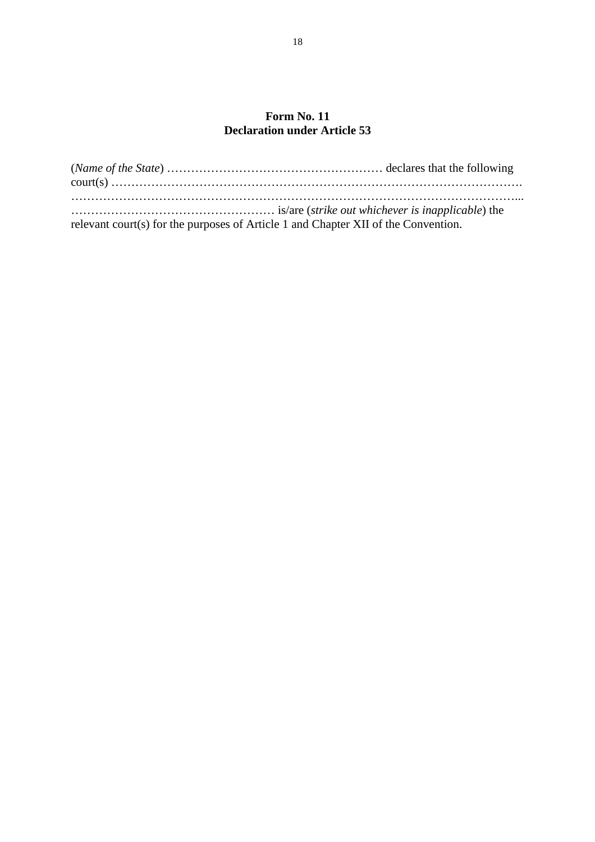### **Form No. 11 Declaration under Article 53**

| relevant court(s) for the purposes of Article 1 and Chapter XII of the Convention. |  |
|------------------------------------------------------------------------------------|--|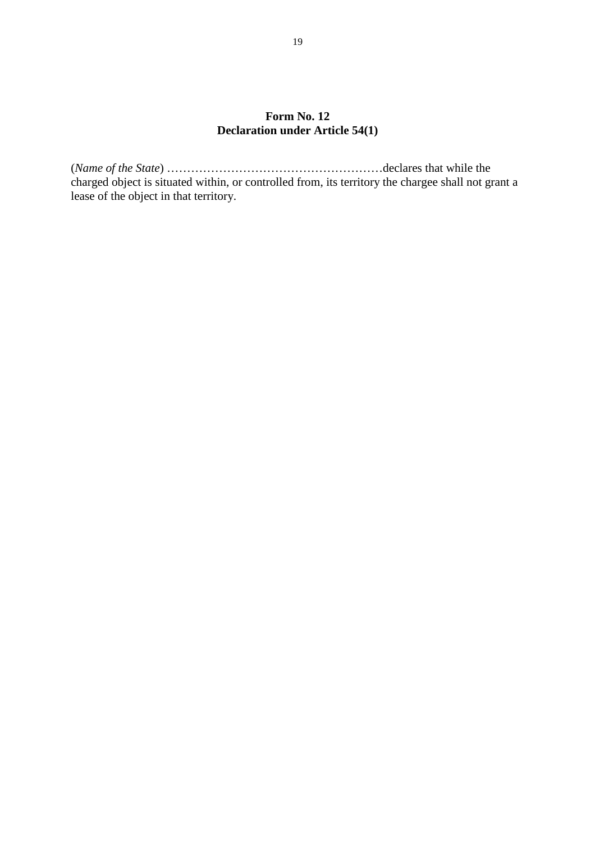### **Form No. 12 Declaration under Article 54(1)**

(*Name of the State*) ………………………………………………declares that while the charged object is situated within, or controlled from, its territory the chargee shall not grant a lease of the object in that territory.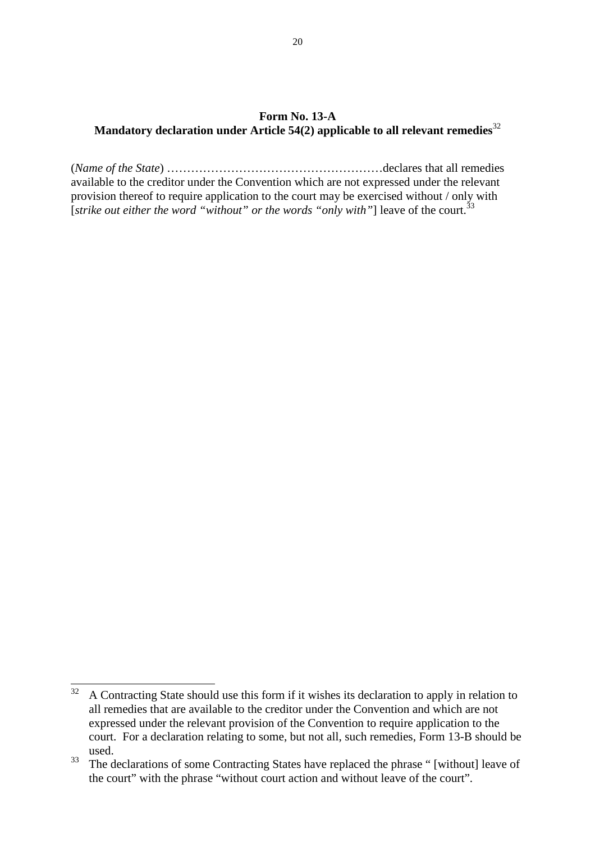#### **Form No. 13-A Mandatory declaration under Article 54(2) applicable to all relevant remedies**<sup>32</sup>

(*Name of the State*) ………………………………………………declares that all remedies available to the creditor under the Convention which are not expressed under the relevant provision thereof to require application to the court may be exercised without / only with [*strike out either the word "without" or the words "only with"*] leave of the court.<sup>33</sup>

 $32$ <sup>32</sup>A Contracting State should use this form if it wishes its declaration to apply in relation to all remedies that are available to the creditor under the Convention and which are not expressed under the relevant provision of the Convention to require application to the court. For a declaration relating to some, but not all, such remedies, Form 13-B should be used.

<sup>&</sup>lt;sup>33</sup> The declarations of some Contracting States have replaced the phrase " [without] leave of the court" with the phrase "without court action and without leave of the court".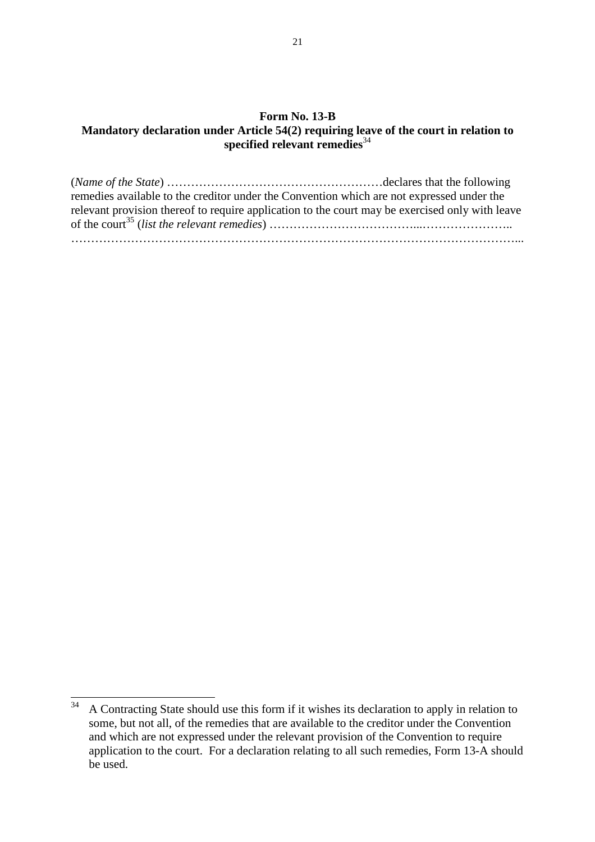#### **Form No. 13-B Mandatory declaration under Article 54(2) requiring leave of the court in relation to**  specified relevant remedies<sup>34</sup>

(*Name of the State*) ………………………………………………declares that the following remedies available to the creditor under the Convention which are not expressed under the relevant provision thereof to require application to the court may be exercised only with leave of the court<sup>35</sup> (*list the relevant remedies*) ………………………………...………………….. …………………………………………………………………………………………………...

<sup>34</sup> <sup>34</sup>A Contracting State should use this form if it wishes its declaration to apply in relation to some, but not all, of the remedies that are available to the creditor under the Convention and which are not expressed under the relevant provision of the Convention to require application to the court. For a declaration relating to all such remedies, Form 13-A should be used.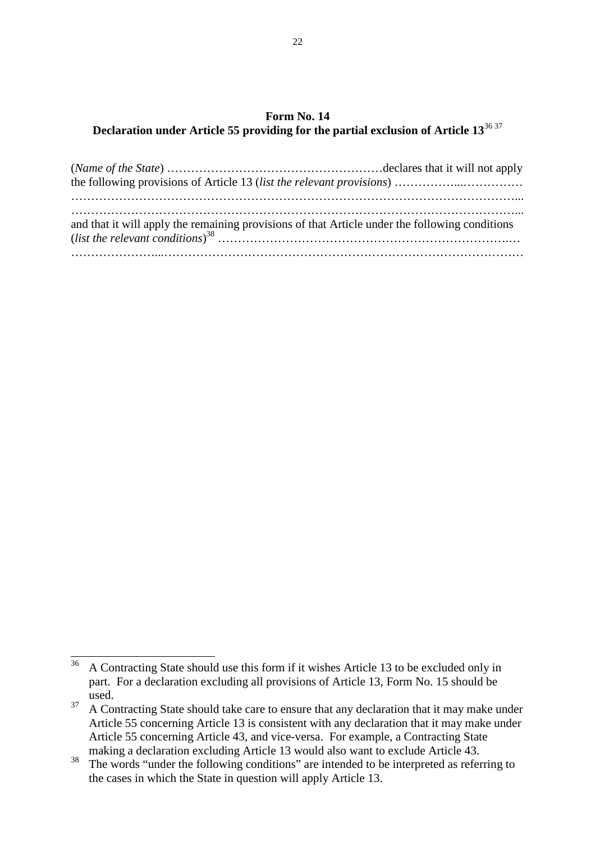### **Form No. 14 Declaration under Article 55 providing for the partial exclusion of Article 13**36 37

| and that it will apply the remaining provisions of that Article under the following conditions |  |
|------------------------------------------------------------------------------------------------|--|
|                                                                                                |  |

<sup>36</sup> <sup>36</sup>A Contracting State should use this form if it wishes Article 13 to be excluded only in part. For a declaration excluding all provisions of Article 13, Form No. 15 should be used.

<sup>&</sup>lt;sup>37</sup> A Contracting State should take care to ensure that any declaration that it may make under Article 55 concerning Article 13 is consistent with any declaration that it may make under Article 55 concerning Article 43, and vice-versa. For example, a Contracting State making a declaration excluding Article 13 would also want to exclude Article 43.

<sup>&</sup>lt;sup>38</sup>The words "under the following conditions" are intended to be interpreted as referring to the cases in which the State in question will apply Article 13.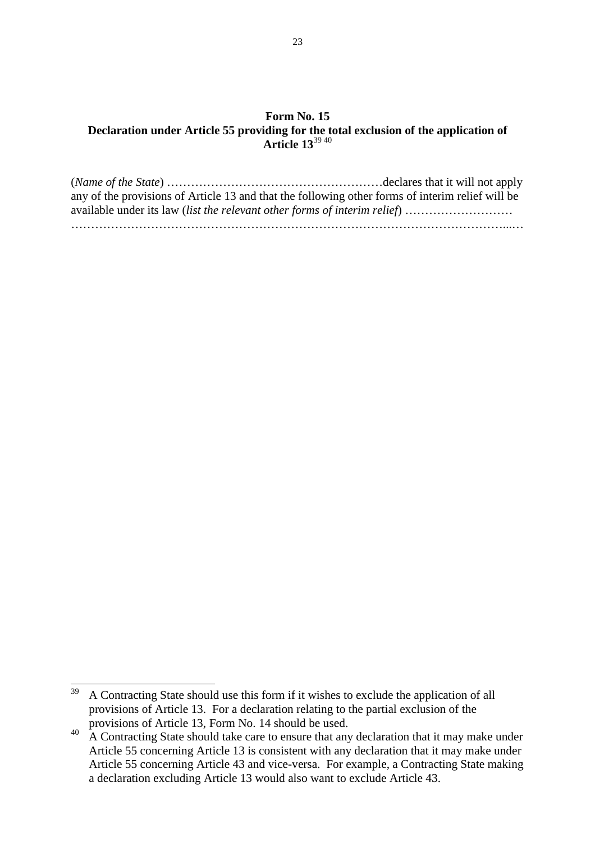#### **Form No. 15 Declaration under Article 55 providing for the total exclusion of the application of Article 13**39 40

| any of the provisions of Article 13 and that the following other forms of interim relief will be |  |
|--------------------------------------------------------------------------------------------------|--|
| available under its law (list the relevant other forms of interim relief)                        |  |
|                                                                                                  |  |

<sup>39</sup> <sup>39</sup>A Contracting State should use this form if it wishes to exclude the application of all provisions of Article 13. For a declaration relating to the partial exclusion of the provisions of Article 13, Form No. 14 should be used.

<sup>&</sup>lt;sup>40</sup> A Contracting State should take care to ensure that any declaration that it may make under Article 55 concerning Article 13 is consistent with any declaration that it may make under Article 55 concerning Article 43 and vice-versa. For example, a Contracting State making a declaration excluding Article 13 would also want to exclude Article 43.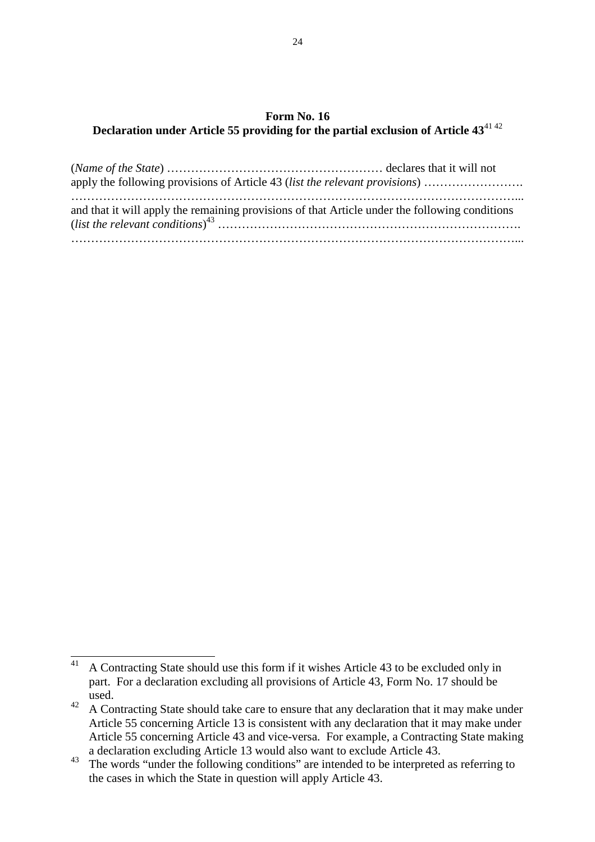### **Form No. 16 Declaration under Article 55 providing for the partial exclusion of Article 43**41 42

| apply the following provisions of Article 43 (list the relevant provisions)                    |  |
|------------------------------------------------------------------------------------------------|--|
| and that it will apply the remaining provisions of that Article under the following conditions |  |

 $41$ <sup>41</sup>A Contracting State should use this form if it wishes Article 43 to be excluded only in part. For a declaration excluding all provisions of Article 43, Form No. 17 should be used.

<sup>&</sup>lt;sup>42</sup> A Contracting State should take care to ensure that any declaration that it may make under Article 55 concerning Article 13 is consistent with any declaration that it may make under Article 55 concerning Article 43 and vice-versa. For example, a Contracting State making a declaration excluding Article 13 would also want to exclude Article 43.

<sup>&</sup>lt;sup>43</sup>The words "under the following conditions" are intended to be interpreted as referring to the cases in which the State in question will apply Article 43.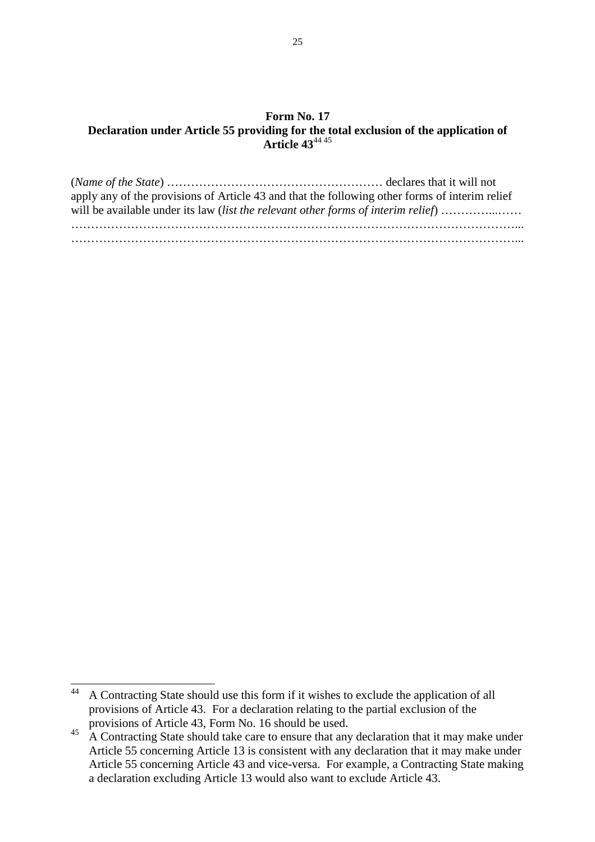#### **Form No. 17 Declaration under Article 55 providing for the total exclusion of the application of Article 43**44 45

| apply any of the provisions of Article 43 and that the following other forms of interim relief<br>will be available under its law <i>(list the relevant other forms of interim relief)</i> |  |
|--------------------------------------------------------------------------------------------------------------------------------------------------------------------------------------------|--|
|                                                                                                                                                                                            |  |

 $44$ <sup>44</sup>A Contracting State should use this form if it wishes to exclude the application of all provisions of Article 43. For a declaration relating to the partial exclusion of the provisions of Article 43, Form No. 16 should be used.

<sup>&</sup>lt;sup>45</sup> A Contracting State should take care to ensure that any declaration that it may make under Article 55 concerning Article 13 is consistent with any declaration that it may make under Article 55 concerning Article 43 and vice-versa. For example, a Contracting State making a declaration excluding Article 13 would also want to exclude Article 43.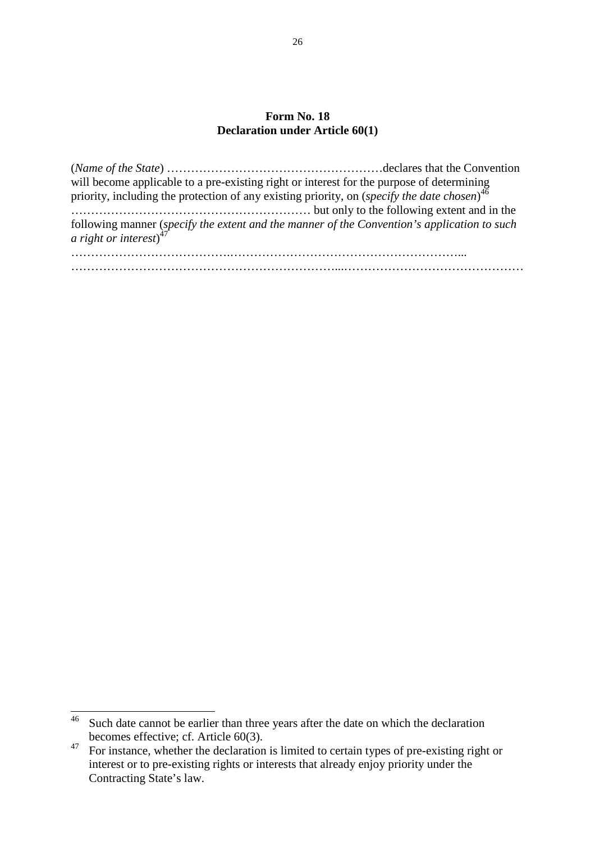#### **Form No. 18 Declaration under Article 60(1)**

| will become applicable to a pre-existing right or interest for the purpose of determining priority, including the protection of any existing priority, on $(specify the date chosen)^{46}$ |  |
|--------------------------------------------------------------------------------------------------------------------------------------------------------------------------------------------|--|
| following manner (specify the extent and the manner of the Convention's application to such a right or interest) <sup>47</sup>                                                             |  |
|                                                                                                                                                                                            |  |

 $\overline{a}$ 

 $46$  Such date cannot be earlier than three years after the date on which the declaration becomes effective; cf. Article 60(3).

 $\frac{47}{100}$  For instance, whether the declaration is limited to certain types of pre-existing right or interest or to pre-existing rights or interests that already enjoy priority under the Contracting State's law.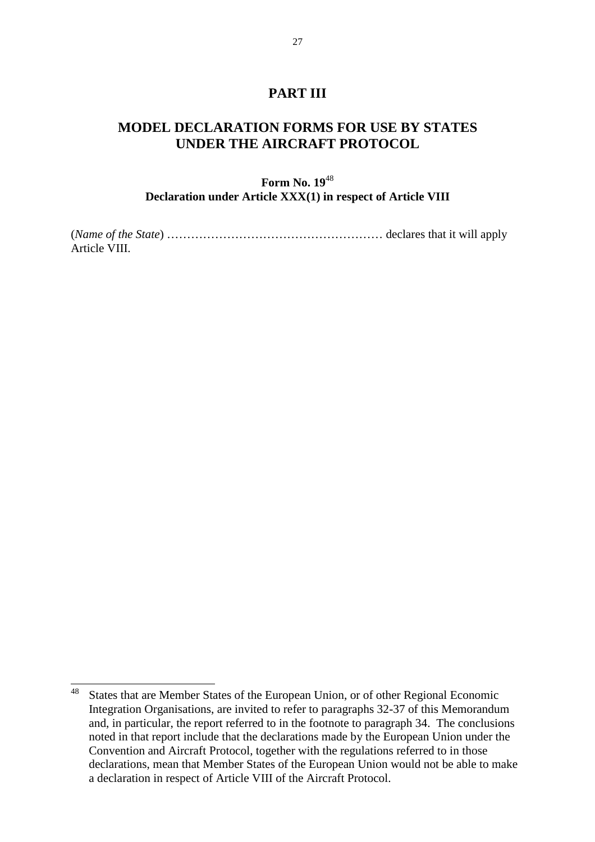### **PART III**

# **MODEL DECLARATION FORMS FOR USE BY STATES UNDER THE AIRCRAFT PROTOCOL**

### **Form No. 19**<sup>48</sup> **Declaration under Article XXX(1) in respect of Article VIII**

(*Name of the State*) ……………………………………………… declares that it will apply Article VIII.

<sup>48</sup> States that are Member States of the European Union, or of other Regional Economic Integration Organisations, are invited to refer to paragraphs 32-37 of this Memorandum and, in particular, the report referred to in the footnote to paragraph 34. The conclusions noted in that report include that the declarations made by the European Union under the Convention and Aircraft Protocol, together with the regulations referred to in those declarations, mean that Member States of the European Union would not be able to make a declaration in respect of Article VIII of the Aircraft Protocol.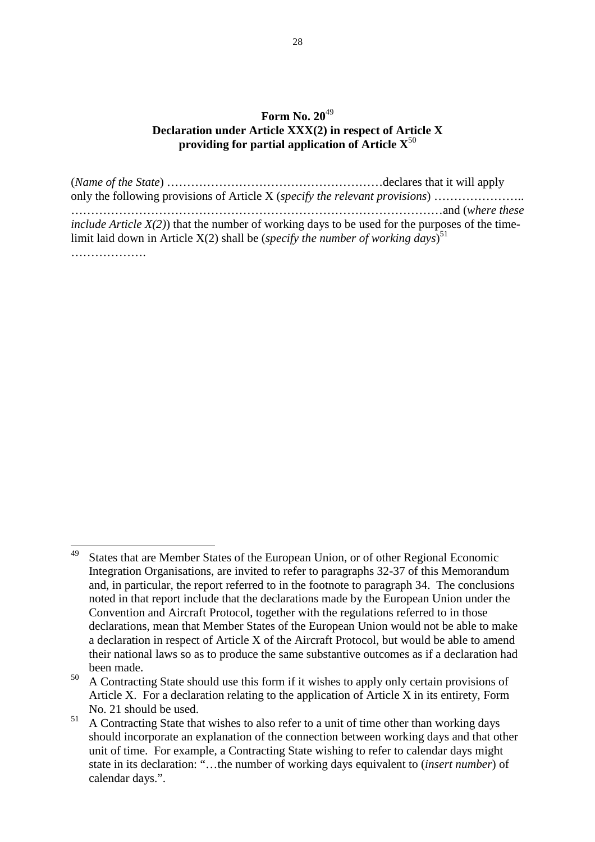### **Form No. 20**<sup>49</sup> **Declaration under Article XXX(2) in respect of Article X providing for partial application of Article X**<sup>50</sup>

(*Name of the State*) ………………………………………………declares that it will apply only the following provisions of Article X (*specify the relevant provisions*) ………………….. …………………………………………………………………………………and (*where these include Article X(2)*) that the number of working days to be used for the purposes of the timelimit laid down in Article X(2) shall be (*specify the number of working days*) 51 ……………………

<sup>49</sup> States that are Member States of the European Union, or of other Regional Economic Integration Organisations, are invited to refer to paragraphs 32-37 of this Memorandum and, in particular, the report referred to in the footnote to paragraph 34. The conclusions noted in that report include that the declarations made by the European Union under the Convention and Aircraft Protocol, together with the regulations referred to in those declarations, mean that Member States of the European Union would not be able to make a declaration in respect of Article X of the Aircraft Protocol, but would be able to amend their national laws so as to produce the same substantive outcomes as if a declaration had been made.

 $50$  A Contracting State should use this form if it wishes to apply only certain provisions of Article X. For a declaration relating to the application of Article X in its entirety, Form No. 21 should be used.

 $51$  A Contracting State that wishes to also refer to a unit of time other than working days should incorporate an explanation of the connection between working days and that other unit of time. For example, a Contracting State wishing to refer to calendar days might state in its declaration: "…the number of working days equivalent to (*insert number*) of calendar days.".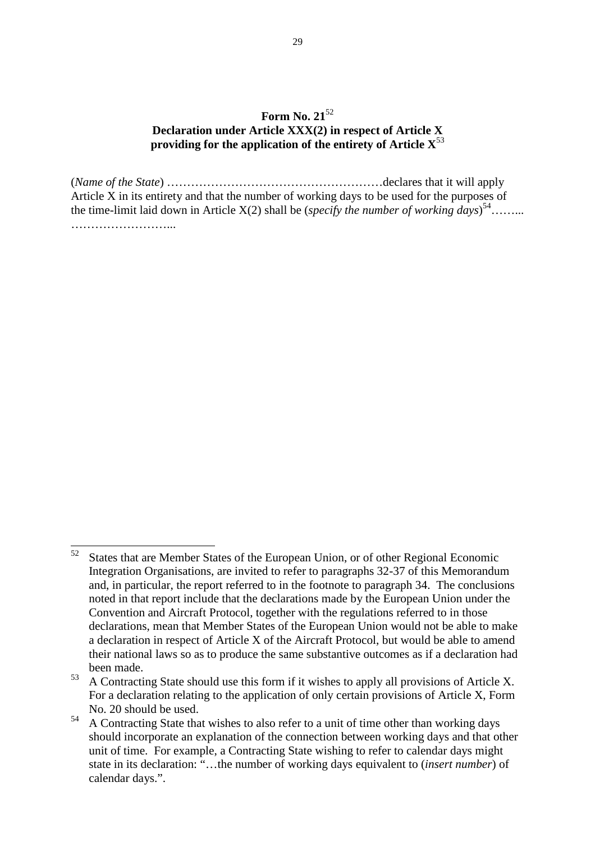### **Form No. 21**<sup>52</sup> **Declaration under Article XXX(2) in respect of Article X providing for the application of the entirety of Article X**<sup>53</sup>

(*Name of the State*) ………………………………………………declares that it will apply Article X in its entirety and that the number of working days to be used for the purposes of the time-limit laid down in Article  $X(2)$  shall be (*specify the number of working days*)<sup>54</sup>…….. ……………………...

<sup>52</sup> States that are Member States of the European Union, or of other Regional Economic Integration Organisations, are invited to refer to paragraphs 32-37 of this Memorandum and, in particular, the report referred to in the footnote to paragraph 34. The conclusions noted in that report include that the declarations made by the European Union under the Convention and Aircraft Protocol, together with the regulations referred to in those declarations, mean that Member States of the European Union would not be able to make a declaration in respect of Article X of the Aircraft Protocol, but would be able to amend their national laws so as to produce the same substantive outcomes as if a declaration had been made.

 $53$  A Contracting State should use this form if it wishes to apply all provisions of Article X. For a declaration relating to the application of only certain provisions of Article X, Form No. 20 should be used.

<sup>&</sup>lt;sup>54</sup> A Contracting State that wishes to also refer to a unit of time other than working days should incorporate an explanation of the connection between working days and that other unit of time. For example, a Contracting State wishing to refer to calendar days might state in its declaration: "…the number of working days equivalent to (*insert number*) of calendar days.".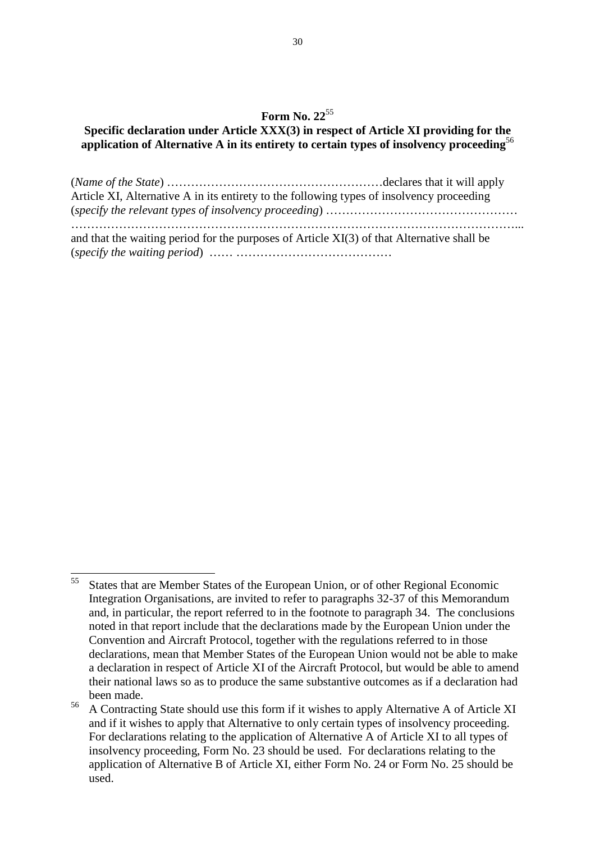#### **Specific declaration under Article XXX(3) in respect of Article XI providing for the application of Alternative A in its entirety to certain types of insolvency proceeding**<sup>56</sup>

(*Name of the State*) ………………………………………………declares that it will apply Article XI, Alternative A in its entirety to the following types of insolvency proceeding (*specify the relevant types of insolvency proceeding*) ………………………………………… …………………………………………………………………………………………………... and that the waiting period for the purposes of Article XI(3) of that Alternative shall be (*specify the waiting period*) …… …………………………………

<sup>55</sup> <sup>55</sup>States that are Member States of the European Union, or of other Regional Economic Integration Organisations, are invited to refer to paragraphs 32-37 of this Memorandum and, in particular, the report referred to in the footnote to paragraph 34. The conclusions noted in that report include that the declarations made by the European Union under the Convention and Aircraft Protocol, together with the regulations referred to in those declarations, mean that Member States of the European Union would not be able to make a declaration in respect of Article XI of the Aircraft Protocol, but would be able to amend their national laws so as to produce the same substantive outcomes as if a declaration had been made.

<sup>&</sup>lt;sup>56</sup> A Contracting State should use this form if it wishes to apply Alternative A of Article XI and if it wishes to apply that Alternative to only certain types of insolvency proceeding. For declarations relating to the application of Alternative A of Article XI to all types of insolvency proceeding, Form No. 23 should be used. For declarations relating to the application of Alternative B of Article XI, either Form No. 24 or Form No. 25 should be used.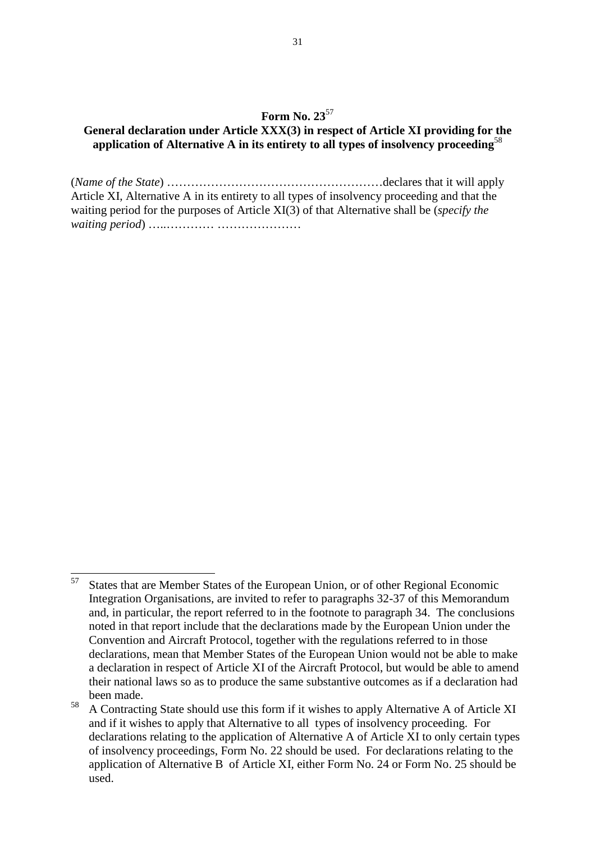#### **General declaration under Article XXX(3) in respect of Article XI providing for the application of Alternative A in its entirety to all types of insolvency proceeding**<sup>58</sup>

(*Name of the State*) ………………………………………………declares that it will apply Article XI, Alternative A in its entirety to all types of insolvency proceeding and that the waiting period for the purposes of Article XI(3) of that Alternative shall be (*specify the waiting period*) …..………… …………………

<sup>57</sup> States that are Member States of the European Union, or of other Regional Economic Integration Organisations, are invited to refer to paragraphs 32-37 of this Memorandum and, in particular, the report referred to in the footnote to paragraph 34. The conclusions noted in that report include that the declarations made by the European Union under the Convention and Aircraft Protocol, together with the regulations referred to in those declarations, mean that Member States of the European Union would not be able to make a declaration in respect of Article XI of the Aircraft Protocol, but would be able to amend their national laws so as to produce the same substantive outcomes as if a declaration had been made.

<sup>&</sup>lt;sup>58</sup> A Contracting State should use this form if it wishes to apply Alternative A of Article XI and if it wishes to apply that Alternative to all types of insolvency proceeding. For declarations relating to the application of Alternative A of Article XI to only certain types of insolvency proceedings, Form No. 22 should be used. For declarations relating to the application of Alternative B of Article XI, either Form No. 24 or Form No. 25 should be used.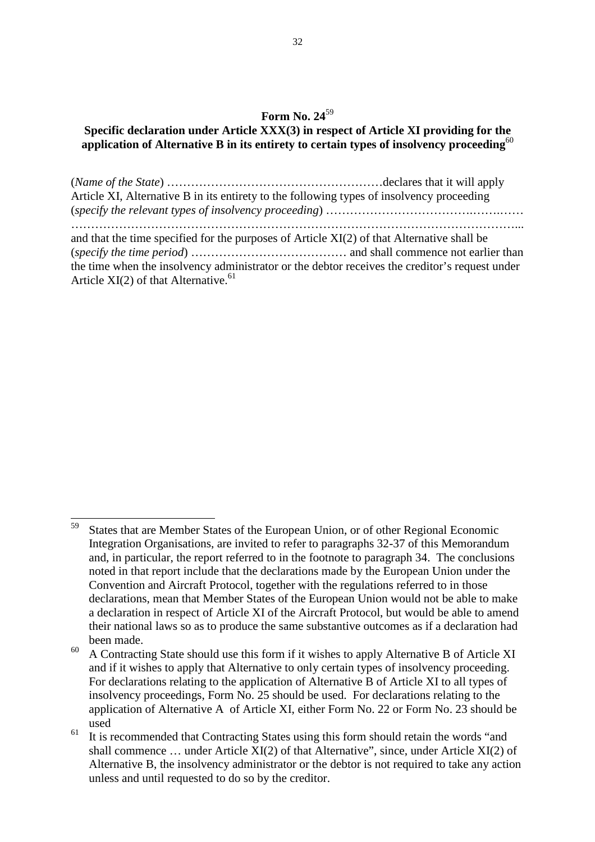#### **Specific declaration under Article XXX(3) in respect of Article XI providing for the application of Alternative B in its entirety to certain types of insolvency proceeding**<sup>60</sup>

(*Name of the State*) ………………………………………………declares that it will apply Article XI, Alternative B in its entirety to the following types of insolvency proceeding (*specify the relevant types of insolvency proceeding*) ……………………………….…….…… …………………………………………………………………………………………………... and that the time specified for the purposes of Article XI(2) of that Alternative shall be (*specify the time period*) ………………………………… and shall commence not earlier than the time when the insolvency administrator or the debtor receives the creditor's request under Article  $XI(2)$  of that Alternative.<sup>61</sup>

<sup>59</sup> States that are Member States of the European Union, or of other Regional Economic Integration Organisations, are invited to refer to paragraphs 32-37 of this Memorandum and, in particular, the report referred to in the footnote to paragraph 34. The conclusions noted in that report include that the declarations made by the European Union under the Convention and Aircraft Protocol, together with the regulations referred to in those declarations, mean that Member States of the European Union would not be able to make a declaration in respect of Article XI of the Aircraft Protocol, but would be able to amend their national laws so as to produce the same substantive outcomes as if a declaration had been made.

 $60$  A Contracting State should use this form if it wishes to apply Alternative B of Article XI and if it wishes to apply that Alternative to only certain types of insolvency proceeding. For declarations relating to the application of Alternative B of Article XI to all types of insolvency proceedings, Form No. 25 should be used. For declarations relating to the application of Alternative A of Article XI, either Form No. 22 or Form No. 23 should be used

 $61$  It is recommended that Contracting States using this form should retain the words "and" shall commence … under Article XI(2) of that Alternative", since, under Article XI(2) of Alternative B, the insolvency administrator or the debtor is not required to take any action unless and until requested to do so by the creditor.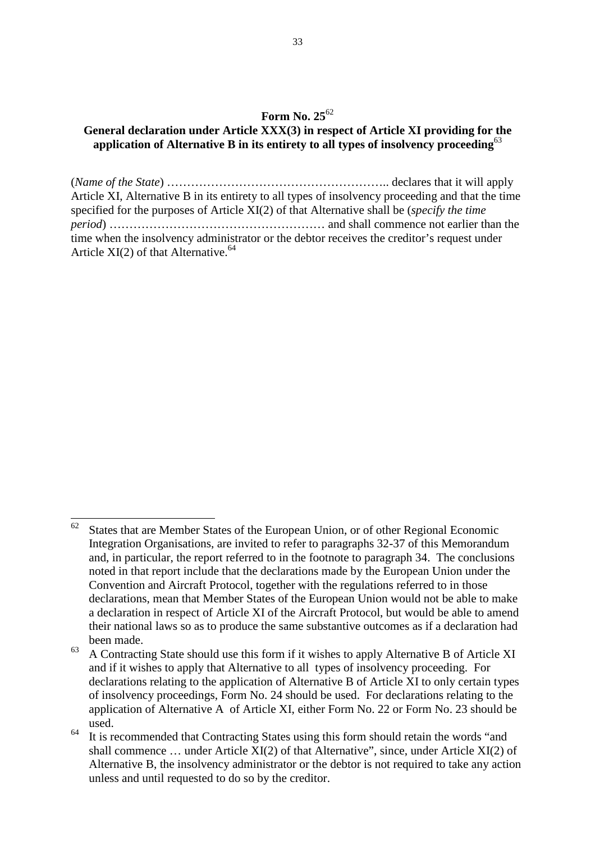#### **General declaration under Article XXX(3) in respect of Article XI providing for the application of Alternative B in its entirety to all types of insolvency proceeding**<sup>63</sup>

(*Name of the State*) ……………………………………………….. declares that it will apply Article XI, Alternative B in its entirety to all types of insolvency proceeding and that the time specified for the purposes of Article XI(2) of that Alternative shall be (*specify the time period*) ……………………………………………… and shall commence not earlier than the time when the insolvency administrator or the debtor receives the creditor's request under Article  $XI(2)$  of that Alternative.<sup>64</sup>

 $62\,$ States that are Member States of the European Union, or of other Regional Economic Integration Organisations, are invited to refer to paragraphs 32-37 of this Memorandum and, in particular, the report referred to in the footnote to paragraph 34. The conclusions noted in that report include that the declarations made by the European Union under the Convention and Aircraft Protocol, together with the regulations referred to in those declarations, mean that Member States of the European Union would not be able to make a declaration in respect of Article XI of the Aircraft Protocol, but would be able to amend their national laws so as to produce the same substantive outcomes as if a declaration had been made.

 $63$  A Contracting State should use this form if it wishes to apply Alternative B of Article XI and if it wishes to apply that Alternative to all types of insolvency proceeding. For declarations relating to the application of Alternative B of Article XI to only certain types of insolvency proceedings, Form No. 24 should be used. For declarations relating to the application of Alternative A of Article XI, either Form No. 22 or Form No. 23 should be used.

 $64$  It is recommended that Contracting States using this form should retain the words "and" shall commence … under Article XI(2) of that Alternative", since, under Article XI(2) of Alternative B, the insolvency administrator or the debtor is not required to take any action unless and until requested to do so by the creditor.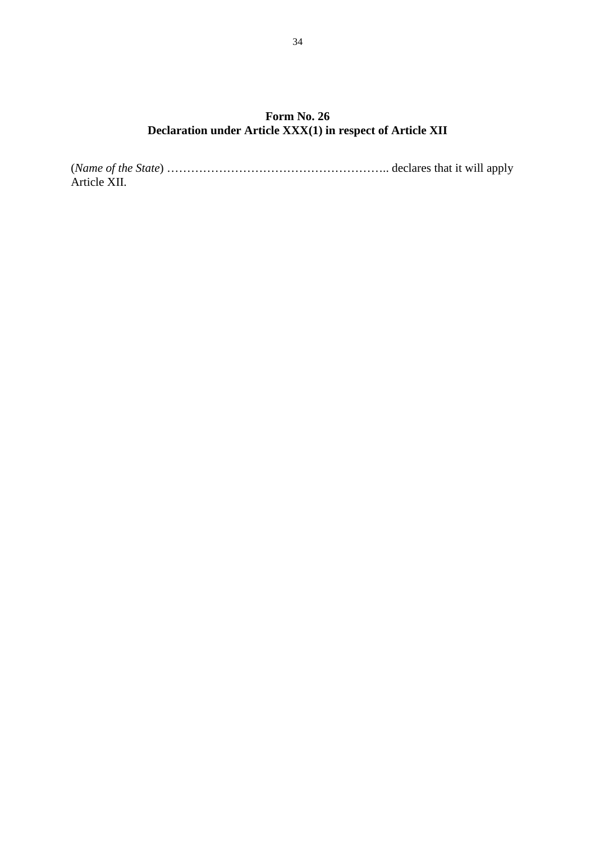### **Form No. 26 Declaration under Article XXX(1) in respect of Article XII**

(*Name of the State*) ……………………………………………….. declares that it will apply Article XII.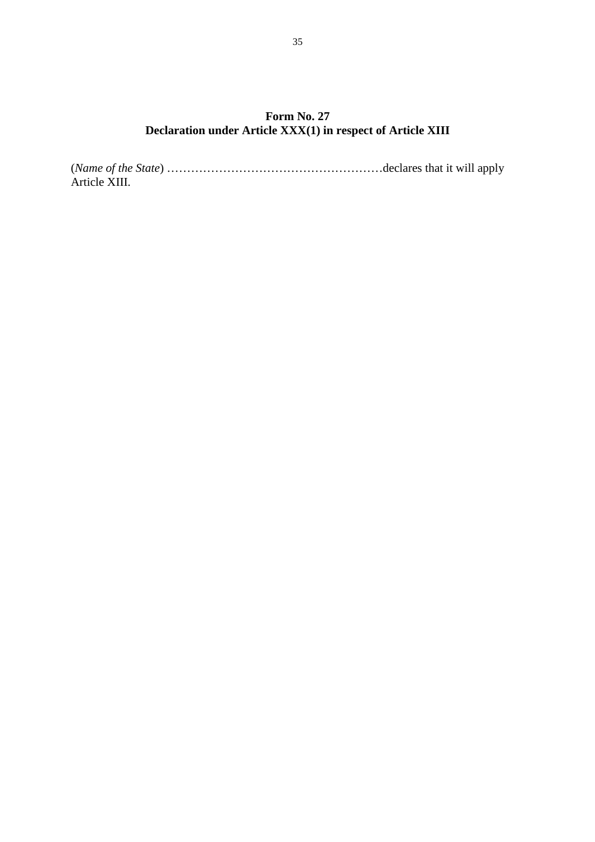### **Form No. 27 Declaration under Article XXX(1) in respect of Article XIII**

(*Name of the State*) ………………………………………………declares that it will apply Article XIII.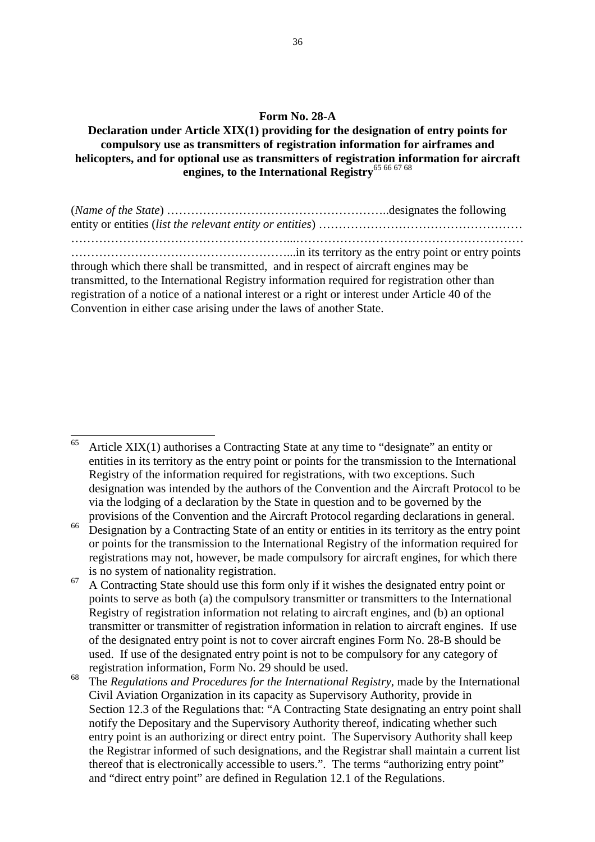#### **Form No. 28-A**

**Declaration under Article XIX(1) providing for the designation of entry points for compulsory use as transmitters of registration information for airframes and helicopters, and for optional use as transmitters of registration information for aircraft engines, to the International Registry**65 66 67 68

(*Name of the State*) ………………………………………………..designates the following entity or entities (*list the relevant entity or entities*) …………………………………………… ………………………………………………...………………………………………………… ………………………………………………...in its territory as the entry point or entry points through which there shall be transmitted, and in respect of aircraft engines may be transmitted, to the International Registry information required for registration other than registration of a notice of a national interest or a right or interest under Article 40 of the Convention in either case arising under the laws of another State.

<sup>65</sup> Article XIX(1) authorises a Contracting State at any time to "designate" an entity or entities in its territory as the entry point or points for the transmission to the International Registry of the information required for registrations, with two exceptions. Such designation was intended by the authors of the Convention and the Aircraft Protocol to be via the lodging of a declaration by the State in question and to be governed by the provisions of the Convention and the Aircraft Protocol regarding declarations in general.

 $\frac{66}{10}$  Designation by a Contracting State of an entity or entities in its territory as the entry point or points for the transmission to the International Registry of the information required for registrations may not, however, be made compulsory for aircraft engines, for which there is no system of nationality registration.

 $67$  A Contracting State should use this form only if it wishes the designated entry point or points to serve as both (a) the compulsory transmitter or transmitters to the International Registry of registration information not relating to aircraft engines, and (b) an optional transmitter or transmitter of registration information in relation to aircraft engines. If use of the designated entry point is not to cover aircraft engines Form No. 28-B should be used. If use of the designated entry point is not to be compulsory for any category of registration information, Form No. 29 should be used.

<sup>68</sup>The *Regulations and Procedures for the International Registry*, made by the International Civil Aviation Organization in its capacity as Supervisory Authority, provide in Section 12.3 of the Regulations that: "A Contracting State designating an entry point shall notify the Depositary and the Supervisory Authority thereof, indicating whether such entry point is an authorizing or direct entry point. The Supervisory Authority shall keep the Registrar informed of such designations, and the Registrar shall maintain a current list thereof that is electronically accessible to users.". The terms "authorizing entry point" and "direct entry point" are defined in Regulation 12.1 of the Regulations.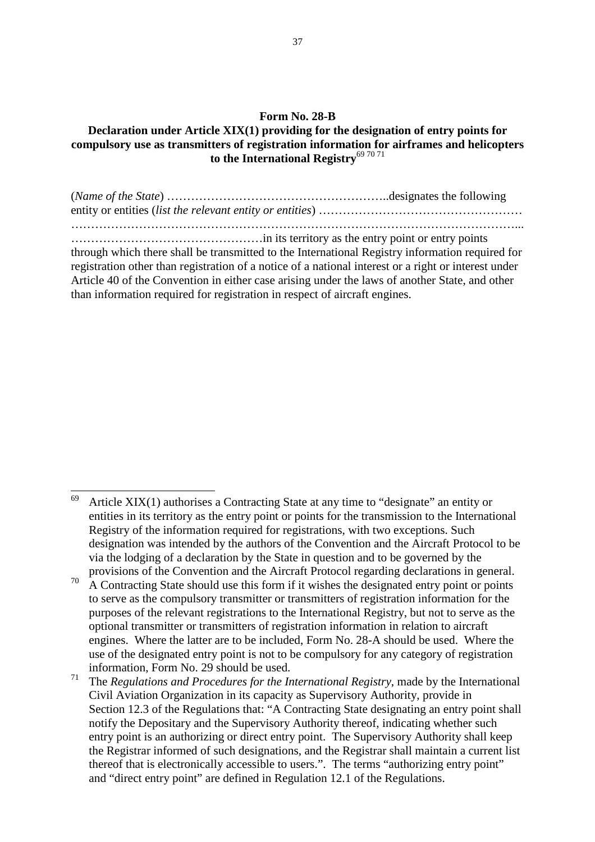#### **Form No. 28-B**

#### **Declaration under Article XIX(1) providing for the designation of entry points for compulsory use as transmitters of registration information for airframes and helicopters**  to the International Registry<sup>69 70 71</sup>

(*Name of the State*) ………………………………………………..designates the following entity or entities (*list the relevant entity or entities*) …………………………………………… …………………………………………………………………………………………………... …………………………………………in its territory as the entry point or entry points through which there shall be transmitted to the International Registry information required for registration other than registration of a notice of a national interest or a right or interest under Article 40 of the Convention in either case arising under the laws of another State, and other than information required for registration in respect of aircraft engines.

<sup>69</sup> Article XIX(1) authorises a Contracting State at any time to "designate" an entity or entities in its territory as the entry point or points for the transmission to the International Registry of the information required for registrations, with two exceptions. Such designation was intended by the authors of the Convention and the Aircraft Protocol to be via the lodging of a declaration by the State in question and to be governed by the provisions of the Convention and the Aircraft Protocol regarding declarations in general.

 $70$  A Contracting State should use this form if it wishes the designated entry point or points to serve as the compulsory transmitter or transmitters of registration information for the purposes of the relevant registrations to the International Registry, but not to serve as the optional transmitter or transmitters of registration information in relation to aircraft engines. Where the latter are to be included, Form No. 28-A should be used. Where the use of the designated entry point is not to be compulsory for any category of registration information, Form No. 29 should be used.

<sup>&</sup>lt;sup>71</sup> The *Regulations and Procedures for the International Registry*, made by the International Civil Aviation Organization in its capacity as Supervisory Authority, provide in Section 12.3 of the Regulations that: "A Contracting State designating an entry point shall notify the Depositary and the Supervisory Authority thereof, indicating whether such entry point is an authorizing or direct entry point. The Supervisory Authority shall keep the Registrar informed of such designations, and the Registrar shall maintain a current list thereof that is electronically accessible to users.". The terms "authorizing entry point" and "direct entry point" are defined in Regulation 12.1 of the Regulations.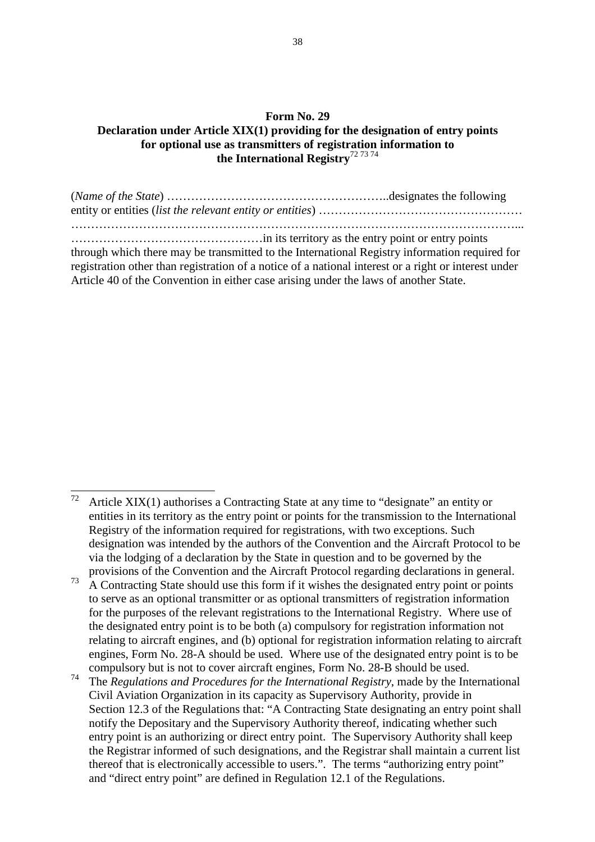#### **Form No. 29 Declaration under Article XIX(1) providing for the designation of entry points for optional use as transmitters of registration information to the International Registry**72 73 74

(*Name of the State*) ………………………………………………..designates the following entity or entities (*list the relevant entity or entities*) …………………………………………… …………………………………………………………………………………………………... …………………………………………in its territory as the entry point or entry points through which there may be transmitted to the International Registry information required for registration other than registration of a notice of a national interest or a right or interest under Article 40 of the Convention in either case arising under the laws of another State.

 $72$ Article  $XIX(1)$  authorises a Contracting State at any time to "designate" an entity or entities in its territory as the entry point or points for the transmission to the International Registry of the information required for registrations, with two exceptions. Such designation was intended by the authors of the Convention and the Aircraft Protocol to be via the lodging of a declaration by the State in question and to be governed by the provisions of the Convention and the Aircraft Protocol regarding declarations in general.

 $73\quad$ A Contracting State should use this form if it wishes the designated entry point or points to serve as an optional transmitter or as optional transmitters of registration information for the purposes of the relevant registrations to the International Registry. Where use of the designated entry point is to be both (a) compulsory for registration information not relating to aircraft engines, and (b) optional for registration information relating to aircraft engines, Form No. 28-A should be used. Where use of the designated entry point is to be compulsory but is not to cover aircraft engines, Form No. 28-B should be used.

<sup>74</sup>The *Regulations and Procedures for the International Registry*, made by the International Civil Aviation Organization in its capacity as Supervisory Authority, provide in Section 12.3 of the Regulations that: "A Contracting State designating an entry point shall notify the Depositary and the Supervisory Authority thereof, indicating whether such entry point is an authorizing or direct entry point. The Supervisory Authority shall keep the Registrar informed of such designations, and the Registrar shall maintain a current list thereof that is electronically accessible to users.". The terms "authorizing entry point" and "direct entry point" are defined in Regulation 12.1 of the Regulations.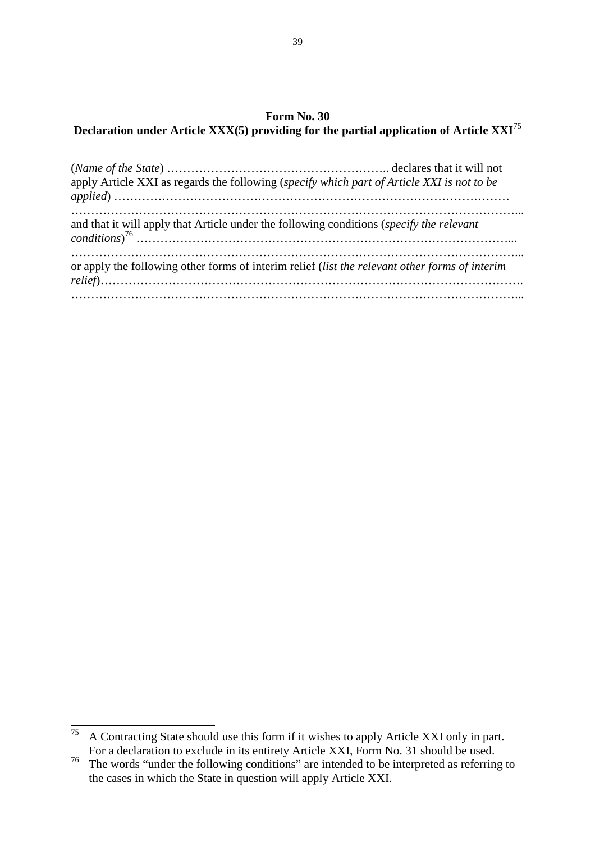### **Form No. 30 Declaration under Article XXX(5) providing for the partial application of Article XXI<sup>75</sup>**

| apply Article XXI as regards the following (specify which part of Article XXI is not to be     |  |
|------------------------------------------------------------------------------------------------|--|
| and that it will apply that Article under the following conditions (specify the relevant       |  |
| or apply the following other forms of interim relief (list the relevant other forms of interim |  |

 $\overline{a}$  $75$  A Contracting State should use this form if it wishes to apply Article XXI only in part. For a declaration to exclude in its entirety Article XXI, Form No. 31 should be used.

 $\frac{76}{100}$  The words "under the following conditions" are intended to be interpreted as referring to the cases in which the State in question will apply Article XXI.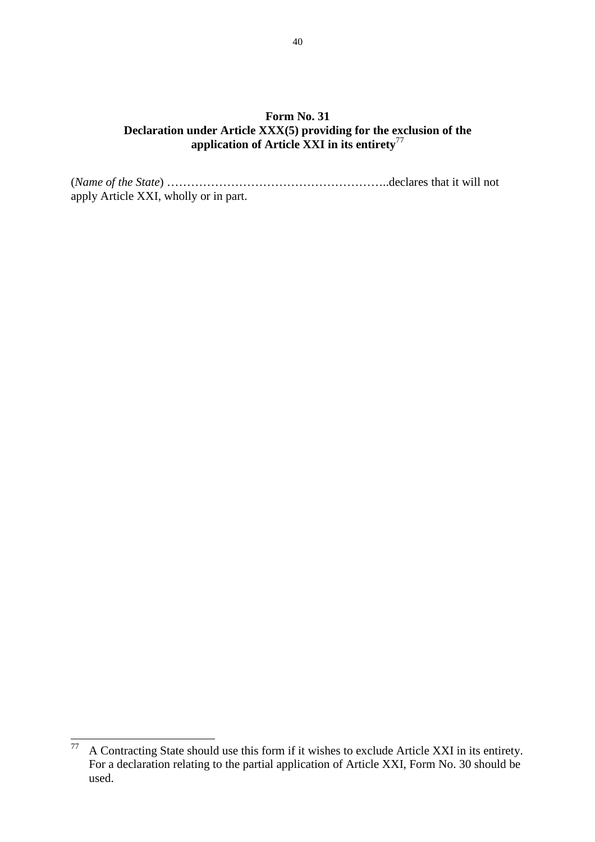### **Form No. 31 Declaration under Article XXX(5) providing for the exclusion of the application of Article XXI in its entirety**<sup>77</sup>

(*Name of the State*) ………………………………………………..declares that it will not apply Article XXI, wholly or in part.

 $77\,$ <sup>77</sup>A Contracting State should use this form if it wishes to exclude Article XXI in its entirety. For a declaration relating to the partial application of Article XXI, Form No. 30 should be used.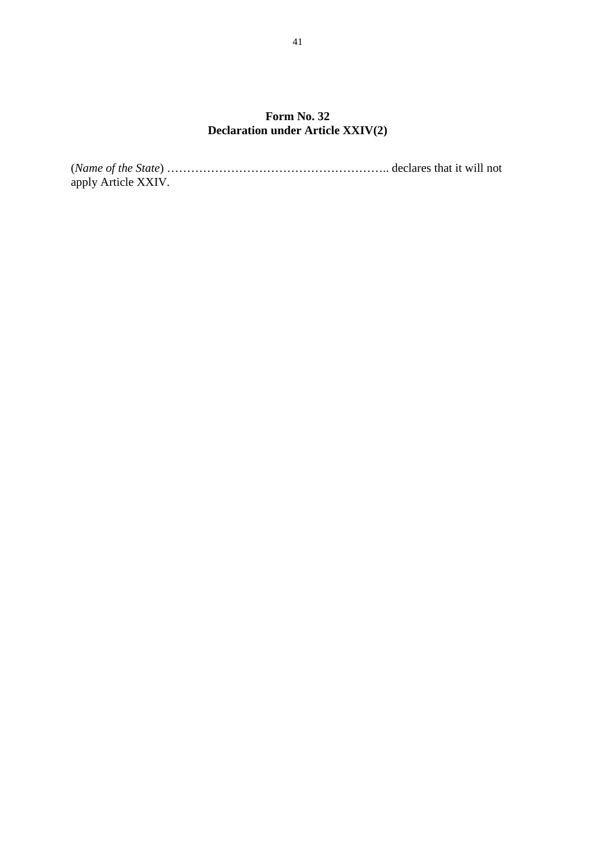### **Form No. 32 Declaration under Article XXIV(2)**

(*Name of the State*) ……………………………………………….. declares that it will not apply Article XXIV.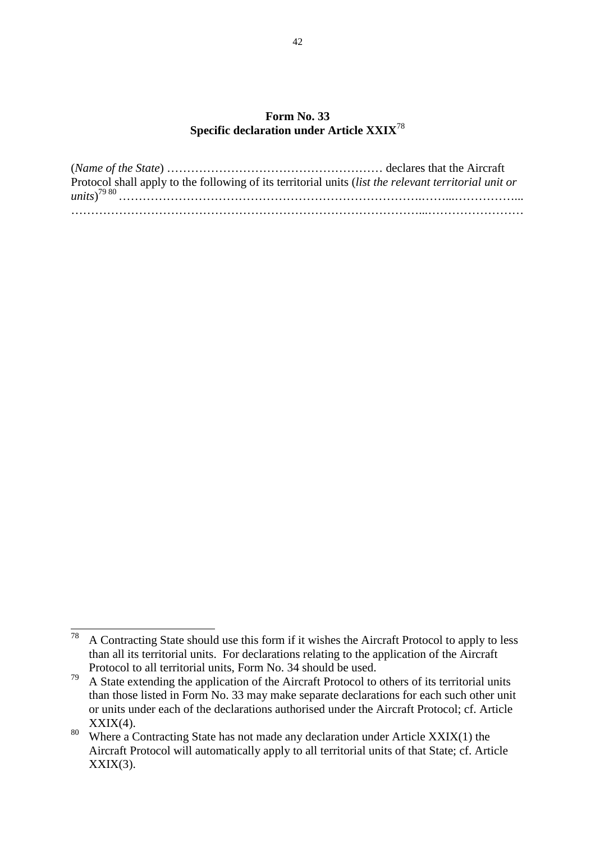#### **Form No. 33 Specific declaration under Article XXIX**<sup>78</sup>

| Protocol shall apply to the following of its territorial units <i>(list the relevant territorial unit or</i> |  |
|--------------------------------------------------------------------------------------------------------------|--|
|                                                                                                              |  |
|                                                                                                              |  |

<sup>78</sup> <sup>78</sup>A Contracting State should use this form if it wishes the Aircraft Protocol to apply to less than all its territorial units. For declarations relating to the application of the Aircraft Protocol to all territorial units, Form No. 34 should be used.

 $79$  A State extending the application of the Aircraft Protocol to others of its territorial units than those listed in Form No. 33 may make separate declarations for each such other unit or units under each of the declarations authorised under the Aircraft Protocol; cf. Article  $XXIX(4)$ .

<sup>80</sup> Where a Contracting State has not made any declaration under Article  $XXIX(1)$  the Aircraft Protocol will automatically apply to all territorial units of that State; cf. Article  $XXIX(3)$ .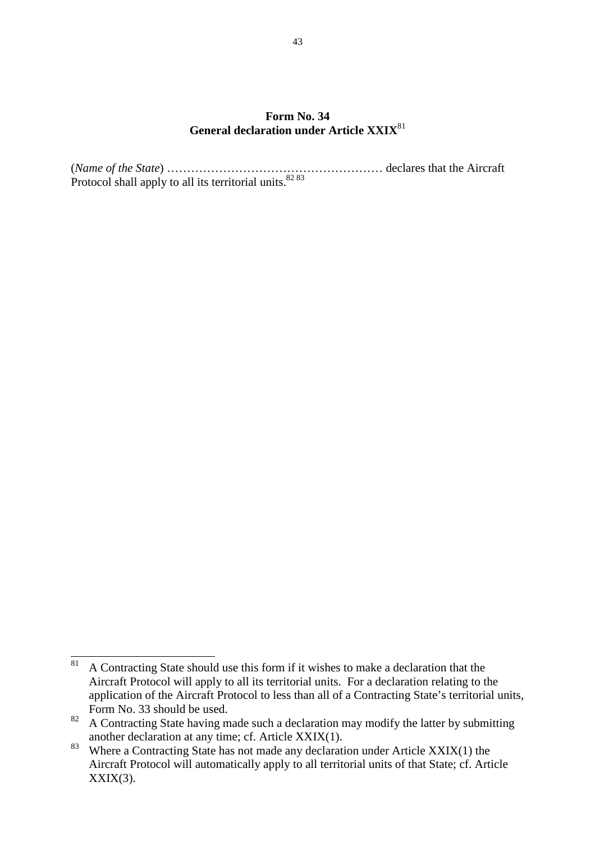#### **Form No. 34 General declaration under Article XXIX**<sup>81</sup>

(*Name of the State*) ……………………………………………… declares that the Aircraft Protocol shall apply to all its territorial units.<sup>82 83</sup>

 $81\,$ <sup>81</sup>A Contracting State should use this form if it wishes to make a declaration that the Aircraft Protocol will apply to all its territorial units. For a declaration relating to the application of the Aircraft Protocol to less than all of a Contracting State's territorial units, Form No. 33 should be used.

<sup>82</sup> A Contracting State having made such a declaration may modify the latter by submitting another declaration at any time; cf. Article XXIX(1).

<sup>&</sup>lt;sup>83</sup> Where a Contracting State has not made any declaration under Article XXIX(1) the Aircraft Protocol will automatically apply to all territorial units of that State; cf. Article  $XXIX(3)$ .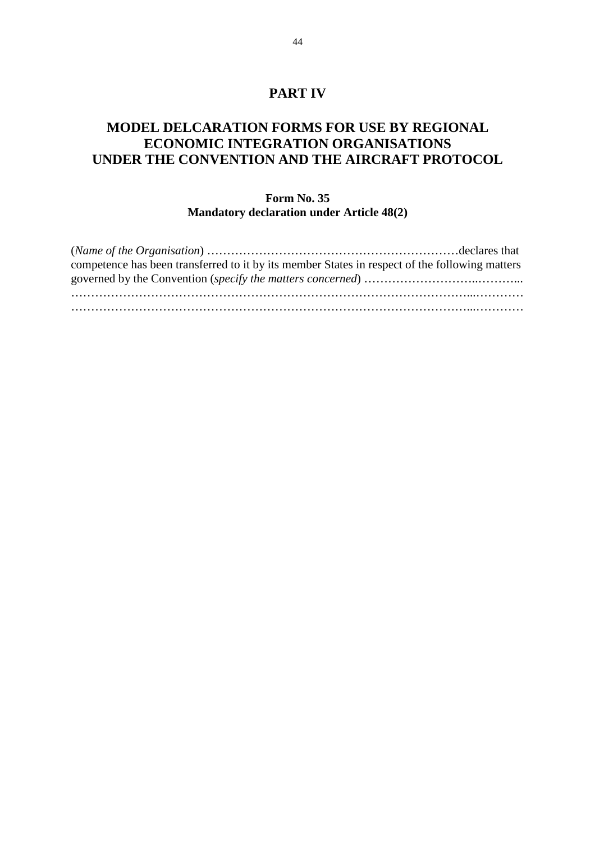### **PART IV**

# **MODEL DELCARATION FORMS FOR USE BY REGIONAL ECONOMIC INTEGRATION ORGANISATIONS UNDER THE CONVENTION AND THE AIRCRAFT PROTOCOL**

#### **Form No. 35 Mandatory declaration under Article 48(2)**

| competence has been transferred to it by its member States in respect of the following matters |  |
|------------------------------------------------------------------------------------------------|--|
|                                                                                                |  |
|                                                                                                |  |
|                                                                                                |  |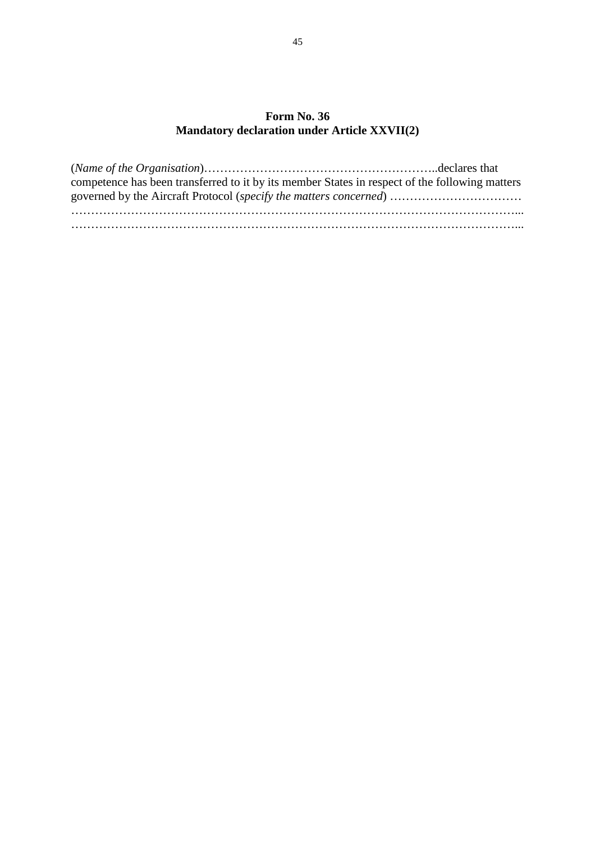### **Form No. 36 Mandatory declaration under Article XXVII(2)**

| competence has been transferred to it by its member States in respect of the following matters |  |
|------------------------------------------------------------------------------------------------|--|
|                                                                                                |  |
|                                                                                                |  |
|                                                                                                |  |